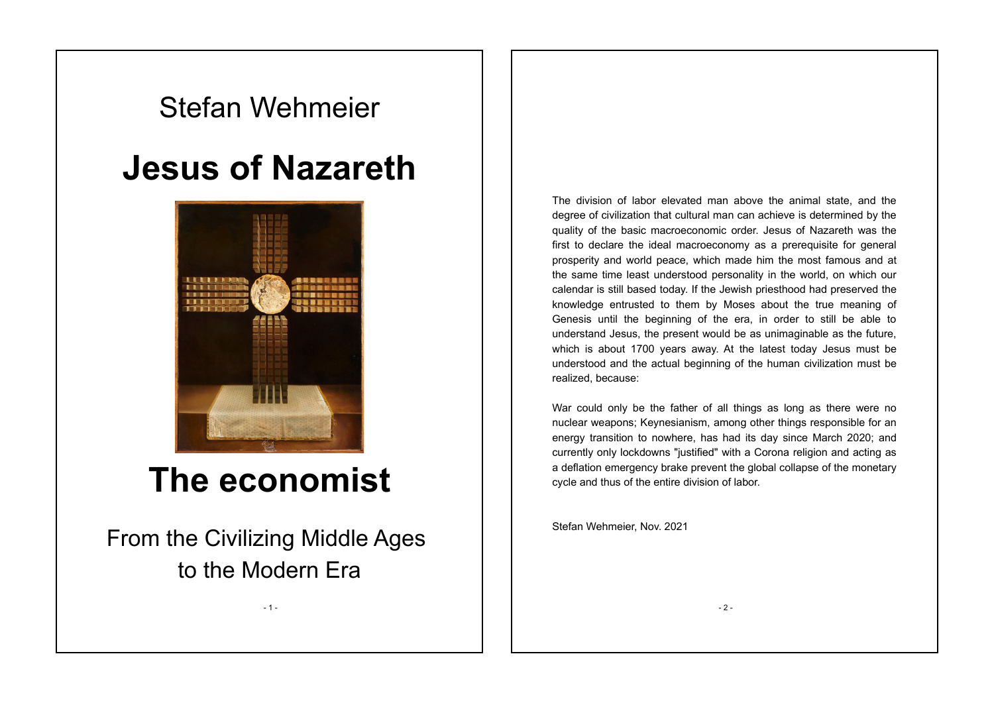# Stefan Wehmeier

# **Jesus of Nazareth**



# **The economist**

From the Civilizing Middle Ages to the Modern Era

- 1 -

The division of labor elevated man above the animal state, and the degree of civilization that cultural man can achieve is determined by the quality of the basic macroeconomic order. Jesus of Nazareth was the first to declare the ideal macroeconomy as a prerequisite for general prosperity and world peace, which made him the most famous and at the same time least understood personality in the world, on which our calendar is still based today. If the Jewish priesthood had preserved the knowledge entrusted to them by Moses about the true meaning of Genesis until the beginning of the era, in order to still be able to understand Jesus, the present would be as unimaginable as the future, which is about 1700 years away. At the latest today Jesus must be understood and the actual beginning of the human civilization must be realized, because:

War could only be the father of all things as long as there were no nuclear weapons; Keynesianism, among other things responsible for an energy transition to nowhere, has had its day since March 2020; and currently only lockdowns "justified" with a Corona religion and acting as a deflation emergency brake prevent the global collapse of the monetary cycle and thus of the entire division of labor.

Stefan Wehmeier, Nov. 2021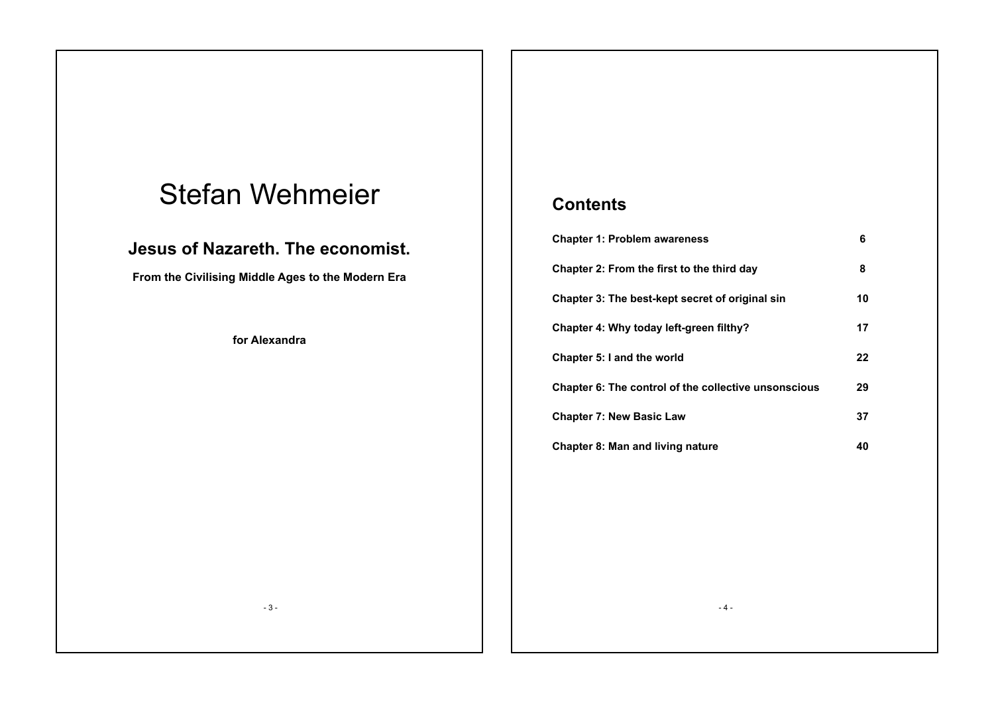# Stefan Wehmeier

### **Jesus of Nazareth. The economist.**

**From the Civilising Middle Ages to the Modern Era**

**for Alexandra**

## **Contents**

| <b>Chapter 1: Problem awareness</b>                  | 6  |
|------------------------------------------------------|----|
| Chapter 2: From the first to the third day           | 8  |
| Chapter 3: The best-kept secret of original sin      | 10 |
| Chapter 4: Why today left-green filthy?              | 17 |
| Chapter 5: I and the world                           | 22 |
| Chapter 6: The control of the collective unsonscious | 29 |
| <b>Chapter 7: New Basic Law</b>                      | 37 |
| Chapter 8: Man and living nature                     | 40 |

- 3 -

- 4 -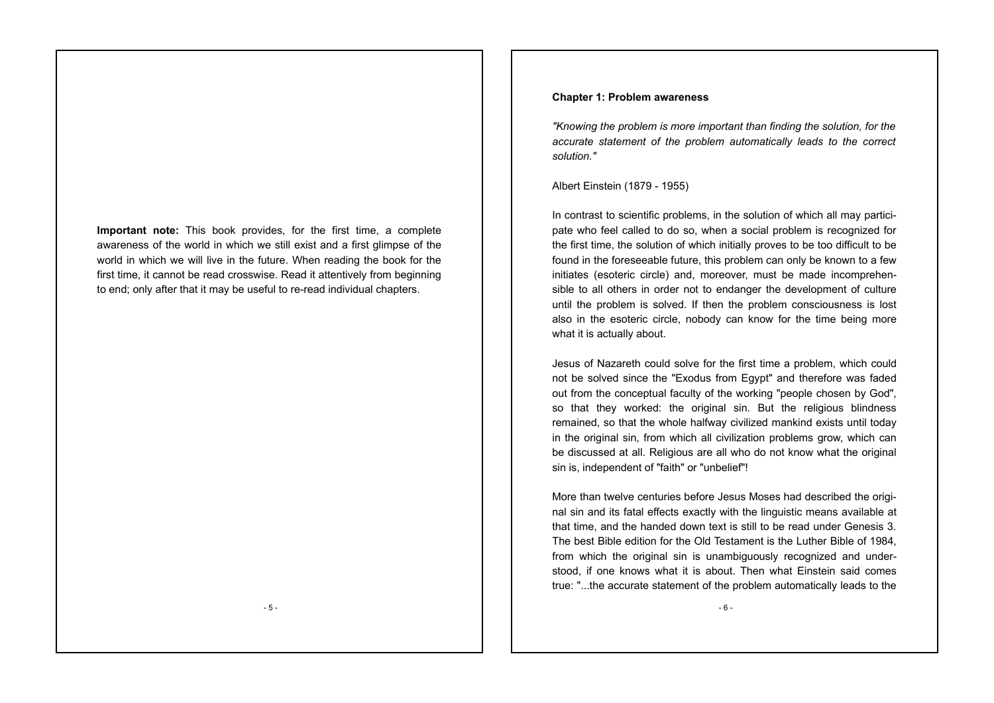**Important note:** This book provides, for the first time, a complete awareness of the world in which we still exist and a first glimpse of the world in which we will live in the future. When reading the book for the first time, it cannot be read crosswise. Read it attentively from beginning to end; only after that it may be useful to re-read individual chapters.

#### **Chapter 1: Problem awareness**

*"Knowing the problem is more important than finding the solution, for the accurate statement of the problem automatically leads to the correct solution."*

Albert Einstein (1879 - 1955)

In contrast to scientific problems, in the solution of which all may participate who feel called to do so, when a social problem is recognized for the first time, the solution of which initially proves to be too difficult to be found in the foreseeable future, this problem can only be known to a few initiates (esoteric circle) and, moreover, must be made incomprehensible to all others in order not to endanger the development of culture until the problem is solved. If then the problem consciousness is lost also in the esoteric circle, nobody can know for the time being more what it is actually about.

Jesus of Nazareth could solve for the first time a problem, which could not be solved since the "Exodus from Egypt" and therefore was faded out from the conceptual faculty of the working "people chosen by God", so that they worked: the original sin. But the religious blindness remained, so that the whole halfway civilized mankind exists until today in the original sin, from which all civilization problems grow, which can be discussed at all. Religious are all who do not know what the original sin is, independent of "faith" or "unbelief"!

More than twelve centuries before Jesus Moses had described the original sin and its fatal effects exactly with the linguistic means available at that time, and the handed down text is still to be read under Genesis 3. The best Bible edition for the Old Testament is the Luther Bible of 1984, from which the original sin is unambiguously recognized and understood, if one knows what it is about. Then what Einstein said comes true: "...the accurate statement of the problem automatically leads to the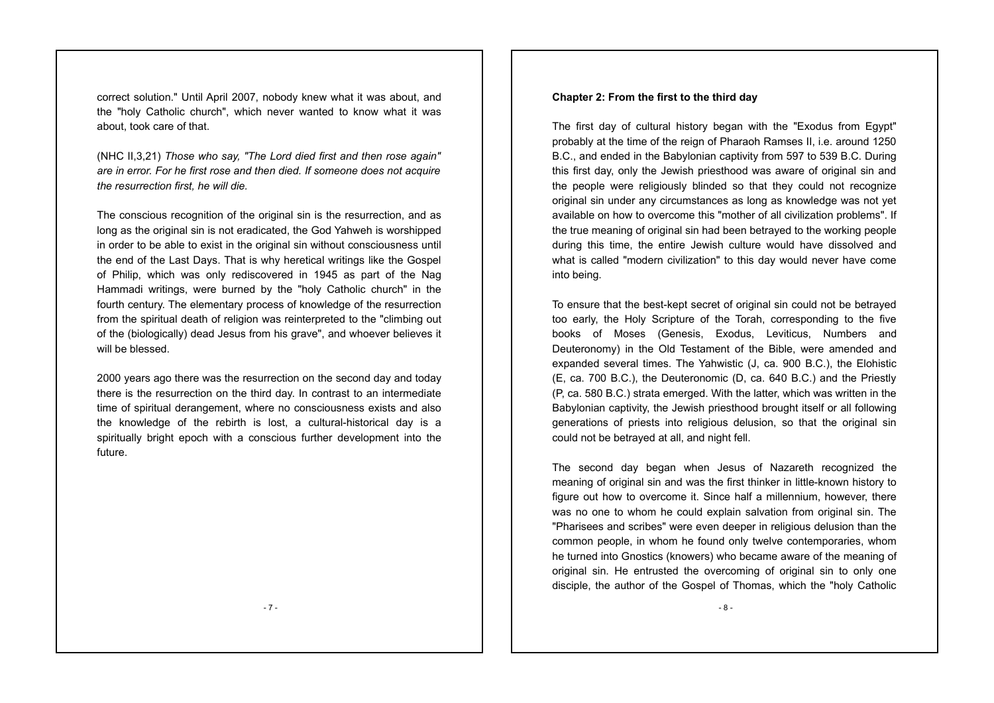correct solution." Until April 2007, nobody knew what it was about, and the "holy Catholic church", which never wanted to know what it was about, took care of that.

(NHC II,3,21) *Those who say, "The Lord died first and then rose again" are in error. For he first rose and then died. If someone does not acquire the resurrection first, he will die.* 

The conscious recognition of the original sin is the resurrection, and as long as the original sin is not eradicated, the God Yahweh is worshipped in order to be able to exist in the original sin without consciousness until the end of the Last Days. That is why heretical writings like the Gospel of Philip, which was only rediscovered in 1945 as part of the Nag Hammadi writings, were burned by the "holy Catholic church" in the fourth century. The elementary process of knowledge of the resurrection from the spiritual death of religion was reinterpreted to the "climbing out of the (biologically) dead Jesus from his grave", and whoever believes it will be blessed.

2000 years ago there was the resurrection on the second day and today there is the resurrection on the third day. In contrast to an intermediate time of spiritual derangement, where no consciousness exists and also the knowledge of the rebirth is lost, a cultural-historical day is a spiritually bright epoch with a conscious further development into the future.

#### **Chapter 2: From the first to the third day**

The first day of cultural history began with the "Exodus from Egypt" probably at the time of the reign of Pharaoh Ramses II, i.e. around 1250 B.C., and ended in the Babylonian captivity from 597 to 539 B.C. During this first day, only the Jewish priesthood was aware of original sin and the people were religiously blinded so that they could not recognize original sin under any circumstances as long as knowledge was not yet available on how to overcome this "mother of all civilization problems". If the true meaning of original sin had been betrayed to the working people during this time, the entire Jewish culture would have dissolved and what is called "modern civilization" to this day would never have come into being.

To ensure that the best-kept secret of original sin could not be betrayed too early, the Holy Scripture of the Torah, corresponding to the five books of Moses (Genesis, Exodus, Leviticus, Numbers and Deuteronomy) in the Old Testament of the Bible, were amended and expanded several times. The Yahwistic (J, ca. 900 B.C.), the Elohistic (E, ca. 700 B.C.), the Deuteronomic (D, ca. 640 B.C.) and the Priestly (P, ca. 580 B.C.) strata emerged. With the latter, which was written in the Babylonian captivity, the Jewish priesthood brought itself or all following generations of priests into religious delusion, so that the original sin could not be betrayed at all, and night fell.

The second day began when Jesus of Nazareth recognized the meaning of original sin and was the first thinker in little-known history to figure out how to overcome it. Since half a millennium, however, there was no one to whom he could explain salvation from original sin. The "Pharisees and scribes" were even deeper in religious delusion than the common people, in whom he found only twelve contemporaries, whom he turned into Gnostics (knowers) who became aware of the meaning of original sin. He entrusted the overcoming of original sin to only one disciple, the author of the Gospel of Thomas, which the "holy Catholic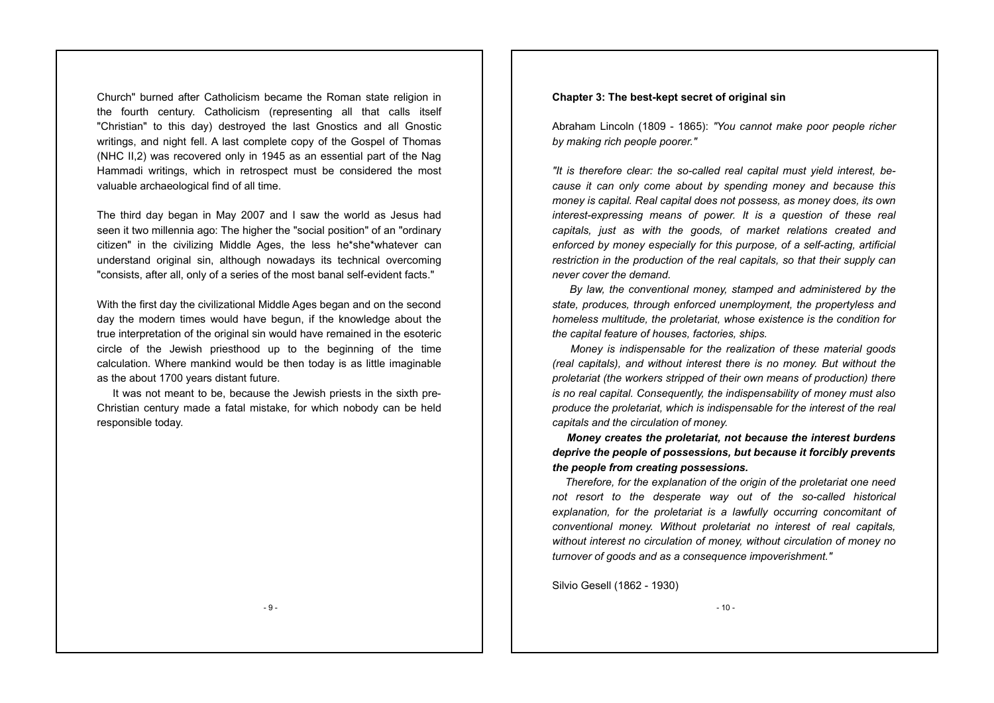Church" burned after Catholicism became the Roman state religion in the fourth century. Catholicism (representing all that calls itself "Christian" to this day) destroyed the last Gnostics and all Gnostic writings, and night fell. A last complete copy of the Gospel of Thomas (NHC II,2) was recovered only in 1945 as an essential part of the Nag Hammadi writings, which in retrospect must be considered the most valuable archaeological find of all time.

The third day began in May 2007 and I saw the world as Jesus had seen it two millennia ago: The higher the "social position" of an "ordinary citizen" in the civilizing Middle Ages, the less he\*she\*whatever can understand original sin, although nowadays its technical overcoming "consists, after all, only of a series of the most banal self-evident facts."

With the first day the civilizational Middle Ages began and on the second day the modern times would have begun, if the knowledge about the true interpretation of the original sin would have remained in the esoteric circle of the Jewish priesthood up to the beginning of the time calculation. Where mankind would be then today is as little imaginable as the about 1700 years distant future.

 It was not meant to be, because the Jewish priests in the sixth pre-Christian century made a fatal mistake, for which nobody can be held responsible today.

#### **Chapter 3: The best-kept secret of original sin**

Abraham Lincoln (1809 - 1865): *"You cannot make poor people richer by making rich people poorer."* 

*"It is therefore clear: the so-called real capital must yield interest, because it can only come about by spending money and because this money is capital. Real capital does not possess, as money does, its own interest-expressing means of power. It is a question of these real capitals, just as with the goods, of market relations created and enforced by money especially for this purpose, of a self-acting, artificial restriction in the production of the real capitals, so that their supply can never cover the demand.* 

 *By law, the conventional money, stamped and administered by the state, produces, through enforced unemployment, the propertyless and homeless multitude, the proletariat, whose existence is the condition for the capital feature of houses, factories, ships.* 

 *Money is indispensable for the realization of these material goods (real capitals), and without interest there is no money. But without the proletariat (the workers stripped of their own means of production) there is no real capital. Consequently, the indispensability of money must also produce the proletariat, which is indispensable for the interest of the real capitals and the circulation of money.* 

 *Money creates the proletariat, not because the interest burdens deprive the people of possessions, but because it forcibly prevents the people from creating possessions.* 

 *Therefore, for the explanation of the origin of the proletariat one need not resort to the desperate way out of the so-called historical explanation, for the proletariat is a lawfully occurring concomitant of conventional money. Without proletariat no interest of real capitals, without interest no circulation of money, without circulation of money no turnover of goods and as a consequence impoverishment."*

Silvio Gesell (1862 - 1930)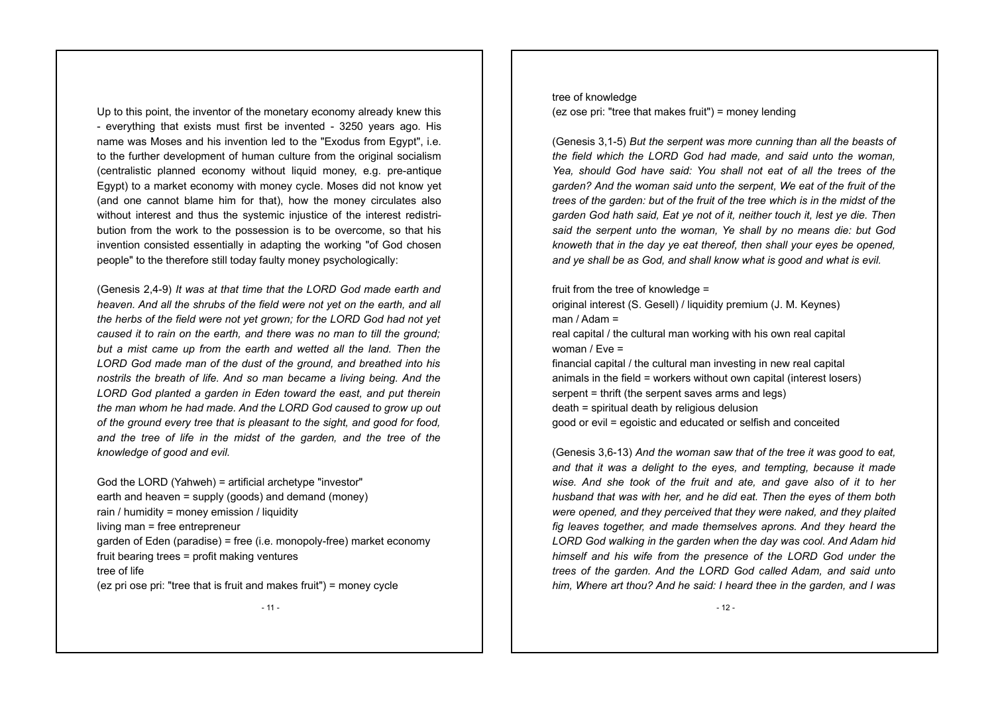Up to this point, the inventor of the monetary economy already knew this - everything that exists must first be invented - 3250 years ago. His name was Moses and his invention led to the "Exodus from Egypt", i.e. to the further development of human culture from the original socialism (centralistic planned economy without liquid money, e.g. pre-antique Egypt) to a market economy with money cycle. Moses did not know yet (and one cannot blame him for that), how the money circulates also without interest and thus the systemic injustice of the interest redistribution from the work to the possession is to be overcome, so that his invention consisted essentially in adapting the working "of God chosen people" to the therefore still today faulty money psychologically:

(Genesis 2,4-9) *It was at that time that the LORD God made earth and heaven. And all the shrubs of the field were not yet on the earth, and all the herbs of the field were not yet grown; for the LORD God had not yet caused it to rain on the earth, and there was no man to till the ground; but a mist came up from the earth and wetted all the land. Then the LORD God made man of the dust of the ground, and breathed into his nostrils the breath of life. And so man became a living being. And the LORD God planted a garden in Eden toward the east, and put therein the man whom he had made. And the LORD God caused to grow up out of the ground every tree that is pleasant to the sight, and good for food, and the tree of life in the midst of the garden, and the tree of the knowledge of good and evil.* 

God the LORD (Yahweh) = artificial archetype "investor" earth and heaven = supply (goods) and demand (money) rain / humidity = money emission / liquidity living man = free entrepreneur garden of Eden (paradise) = free (i.e. monopoly-free) market economy fruit bearing trees = profit making ventures tree of life (ez pri ose pri: "tree that is fruit and makes fruit") = money cycle

tree of knowledge (ez ose pri: "tree that makes fruit") = money lending

(Genesis 3,1-5) *But the serpent was more cunning than all the beasts of the field which the LORD God had made, and said unto the woman, Yea, should God have said: You shall not eat of all the trees of the garden? And the woman said unto the serpent, We eat of the fruit of the trees of the garden: but of the fruit of the tree which is in the midst of the garden God hath said, Eat ye not of it, neither touch it, lest ye die. Then said the serpent unto the woman, Ye shall by no means die: but God knoweth that in the day ye eat thereof, then shall your eyes be opened, and ye shall be as God, and shall know what is good and what is evil.*

fruit from the tree of knowledge = original interest (S. Gesell) / liquidity premium (J. M. Keynes) man / Adam = real capital / the cultural man working with his own real capital woman / Eve = financial capital / the cultural man investing in new real capital animals in the field = workers without own capital (interest losers) serpent = thrift (the serpent saves arms and legs) death = spiritual death by religious delusion good or evil = egoistic and educated or selfish and conceited

(Genesis 3,6-13) *And the woman saw that of the tree it was good to eat, and that it was a delight to the eyes, and tempting, because it made wise. And she took of the fruit and ate, and gave also of it to her husband that was with her, and he did eat. Then the eyes of them both were opened, and they perceived that they were naked, and they plaited fig leaves together, and made themselves aprons. And they heard the LORD God walking in the garden when the day was cool. And Adam hid himself and his wife from the presence of the LORD God under the trees of the garden. And the LORD God called Adam, and said unto him, Where art thou? And he said: I heard thee in the garden, and I was*

- 11 -

 $-12-$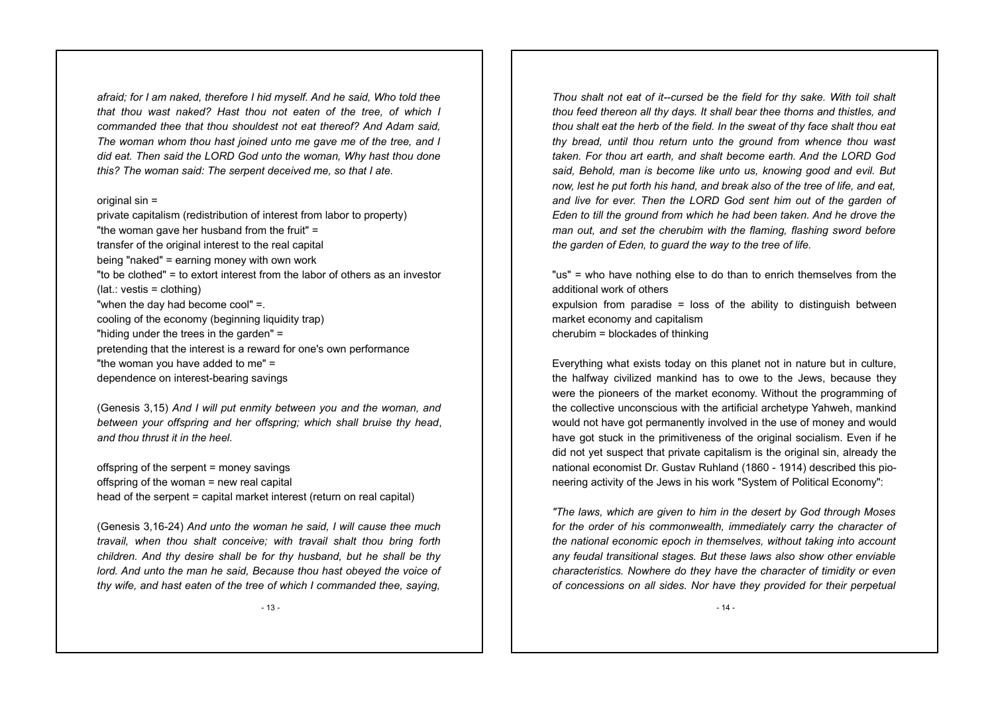*afraid; for I am naked, therefore I hid myself. And he said, Who told thee that thou wast naked? Hast thou not eaten of the tree, of which I commanded thee that thou shouldest not eat thereof? And Adam said, The woman whom thou hast joined unto me gave me of the tree, and I did eat. Then said the LORD God unto the woman, Why hast thou done this? The woman said: The serpent deceived me, so that I ate.*

#### original  $sin =$

private capitalism (redistribution of interest from labor to property) "the woman gave her husband from the fruit" = transfer of the original interest to the real capital being "naked" = earning money with own work "to be clothed" = to extort interest from the labor of others as an investor (lat.: vestis = clothing) "when the day had become cool" =. cooling of the economy (beginning liquidity trap) "hiding under the trees in the garden" = pretending that the interest is a reward for one's own performance "the woman you have added to me" = dependence on interest-bearing savings

(Genesis 3,15) *And I will put enmity between you and the woman, and between your offspring and her offspring; which shall bruise thy head*, *and thou thrust it in the heel.* 

offspring of the serpent = money savings offspring of the woman = new real capital head of the serpent = capital market interest (return on real capital)

(Genesis 3,16-24) *And unto the woman he said, I will cause thee much travail, when thou shalt conceive; with travail shalt thou bring forth children. And thy desire shall be for thy husband, but he shall be thy lord. And unto the man he said, Because thou hast obeyed the voice of thy wife, and hast eaten of the tree of which I commanded thee, saying,*

- 13 -

*Thou shalt not eat of it--cursed be the field for thy sake. With toil shalt thou feed thereon all thy days. It shall bear thee thorns and thistles, and thou shalt eat the herb of the field. In the sweat of thy face shalt thou eat thy bread, until thou return unto the ground from whence thou wast taken. For thou art earth, and shalt become earth. And the LORD God said, Behold, man is become like unto us, knowing good and evil. But now, lest he put forth his hand, and break also of the tree of life, and eat, and live for ever. Then the LORD God sent him out of the garden of Eden to till the ground from which he had been taken. And he drove the man out, and set the cherubim with the flaming, flashing sword before the garden of Eden, to guard the way to the tree of life.*

"us" = who have nothing else to do than to enrich themselves from the additional work of others expulsion from paradise  $=$  loss of the ability to distinguish between market economy and capitalism cherubim = blockades of thinking

Everything what exists today on this planet not in nature but in culture, the halfway civilized mankind has to owe to the Jews, because they were the pioneers of the market economy. Without the programming of the collective unconscious with the artificial archetype Yahweh, mankind would not have got permanently involved in the use of money and would have got stuck in the primitiveness of the original socialism. Even if he did not yet suspect that private capitalism is the original sin, already the national economist Dr. Gustav Ruhland (1860 - 1914) described this pioneering activity of the Jews in his work "System of Political Economy":

*"The laws, which are given to him in the desert by God through Moses for the order of his commonwealth, immediately carry the character of the national economic epoch in themselves, without taking into account any feudal transitional stages. But these laws also show other enviable characteristics. Nowhere do they have the character of timidity or even of concessions on all sides. Nor have they provided for their perpetual*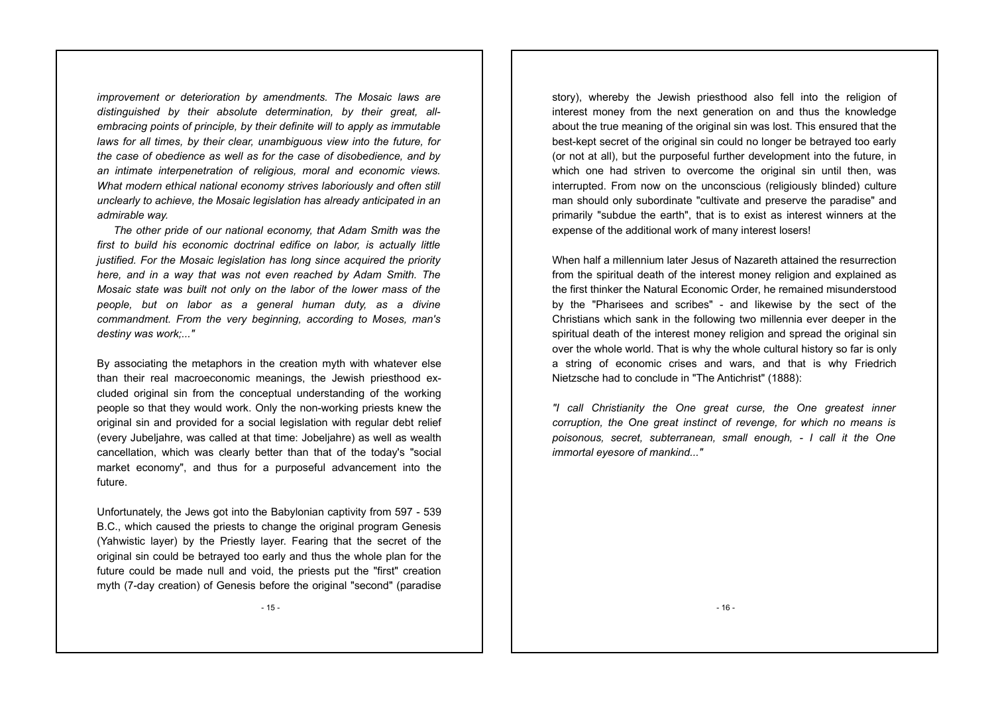*improvement or deterioration by amendments. The Mosaic laws are distinguished by their absolute determination, by their great, allembracing points of principle, by their definite will to apply as immutable laws for all times, by their clear, unambiguous view into the future, for the case of obedience as well as for the case of disobedience, and by an intimate interpenetration of religious, moral and economic views. What modern ethical national economy strives laboriously and often still unclearly to achieve, the Mosaic legislation has already anticipated in an admirable way.* 

 *The other pride of our national economy, that Adam Smith was the first to build his economic doctrinal edifice on labor, is actually little justified. For the Mosaic legislation has long since acquired the priority here, and in a way that was not even reached by Adam Smith. The Mosaic state was built not only on the labor of the lower mass of the people, but on labor as a general human duty, as a divine commandment. From the very beginning, according to Moses, man's destiny was work;..."*

By associating the metaphors in the creation myth with whatever else than their real macroeconomic meanings, the Jewish priesthood excluded original sin from the conceptual understanding of the working people so that they would work. Only the non-working priests knew the original sin and provided for a social legislation with regular debt relief (every Jubeljahre, was called at that time: Jobeljahre) as well as wealth cancellation, which was clearly better than that of the today's "social market economy", and thus for a purposeful advancement into the future.

Unfortunately, the Jews got into the Babylonian captivity from 597 - 539 B.C., which caused the priests to change the original program Genesis (Yahwistic layer) by the Priestly layer. Fearing that the secret of the original sin could be betrayed too early and thus the whole plan for the future could be made null and void, the priests put the "first" creation myth (7-day creation) of Genesis before the original "second" (paradise

story), whereby the Jewish priesthood also fell into the religion of interest money from the next generation on and thus the knowledge about the true meaning of the original sin was lost. This ensured that the best-kept secret of the original sin could no longer be betrayed too early (or not at all), but the purposeful further development into the future, in which one had striven to overcome the original sin until then, was interrupted. From now on the unconscious (religiously blinded) culture man should only subordinate "cultivate and preserve the paradise" and primarily "subdue the earth", that is to exist as interest winners at the expense of the additional work of many interest losers!

When half a millennium later Jesus of Nazareth attained the resurrection from the spiritual death of the interest money religion and explained as the first thinker the Natural Economic Order, he remained misunderstood by the "Pharisees and scribes" - and likewise by the sect of the Christians which sank in the following two millennia ever deeper in the spiritual death of the interest money religion and spread the original sin over the whole world. That is why the whole cultural history so far is only a string of economic crises and wars, and that is why Friedrich Nietzsche had to conclude in "The Antichrist" (1888):

*"I call Christianity the One great curse, the One greatest inner corruption, the One great instinct of revenge, for which no means is poisonous, secret, subterranean, small enough, - I call it the One immortal eyesore of mankind..."* 

- 16 -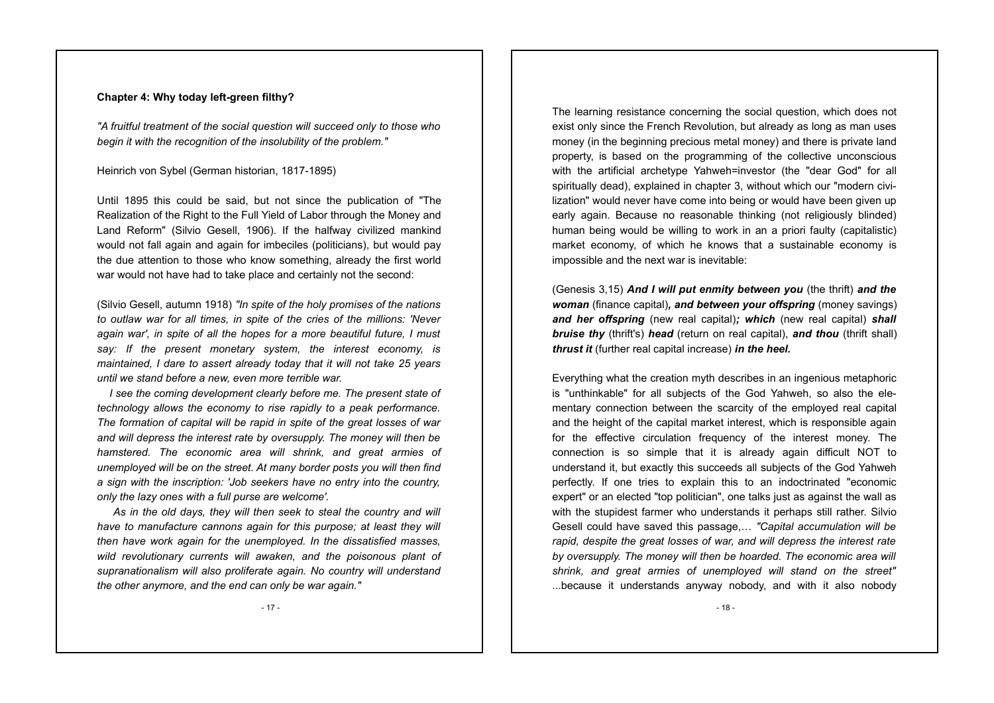#### **Chapter 4: Why today left-green filthy?**

*"A fruitful treatment of the social question will succeed only to those who begin it with the recognition of the insolubility of the problem."*

#### Heinrich von Sybel (German historian, 1817-1895)

Until 1895 this could be said, but not since the publication of "The Realization of the Right to the Full Yield of Labor through the Money and Land Reform" (Silvio Gesell, 1906). If the halfway civilized mankind would not fall again and again for imbeciles (politicians), but would pay the due attention to those who know something, already the first world war would not have had to take place and certainly not the second:

(Silvio Gesell, autumn 1918) *"In spite of the holy promises of the nations to outlaw war for all times, in spite of the cries of the millions: 'Never again war', in spite of all the hopes for a more beautiful future, I must say: If the present monetary system, the interest economy, is maintained, I dare to assert already today that it will not take 25 years until we stand before a new, even more terrible war.*

 *I see the coming development clearly before me. The present state of technology allows the economy to rise rapidly to a peak performance. The formation of capital will be rapid in spite of the great losses of war and will depress the interest rate by oversupply. The money will then be hamstered. The economic area will shrink, and great armies of unemployed will be on the street. At many border posts you will then find a sign with the inscription: 'Job seekers have no entry into the country, only the lazy ones with a full purse are welcome'.*

 *As in the old days, they will then seek to steal the country and will have to manufacture cannons again for this purpose; at least they will then have work again for the unemployed. In the dissatisfied masses, wild revolutionary currents will awaken, and the poisonous plant of supranationalism will also proliferate again. No country will understand the other anymore, and the end can only be war again."*

The learning resistance concerning the social question, which does not exist only since the French Revolution, but already as long as man uses money (in the beginning precious metal money) and there is private land property, is based on the programming of the collective unconscious with the artificial archetype Yahweh=investor (the "dear God" for all spiritually dead), explained in chapter 3, without which our "modern civilization" would never have come into being or would have been given up early again. Because no reasonable thinking (not religiously blinded) human being would be willing to work in an a priori faulty (capitalistic) market economy, of which he knows that a sustainable economy is impossible and the next war is inevitable:

(Genesis 3,15) *And I will put enmity between you* (the thrift) *and the woman* (finance capital)*, and between your offspring* (money savings) *and her offspring* (new real capital)*; which* (new real capital) *shall bruise thy* (thrift's) *head* (return on real capital), *and thou* (thrift shall) *thrust it* (further real capital increase) *in the heel.* 

Everything what the creation myth describes in an ingenious metaphoric is "unthinkable" for all subjects of the God Yahweh, so also the elementary connection between the scarcity of the employed real capital and the height of the capital market interest, which is responsible again for the effective circulation frequency of the interest money. The connection is so simple that it is already again difficult NOT to understand it, but exactly this succeeds all subjects of the God Yahweh perfectly. If one tries to explain this to an indoctrinated "economic expert" or an elected "top politician", one talks just as against the wall as with the stupidest farmer who understands it perhaps still rather. Silvio Gesell could have saved this passage,… *"Capital accumulation will be rapid, despite the great losses of war, and will depress the interest rate by oversupply. The money will then be hoarded. The economic area will shrink, and great armies of unemployed will stand on the street"* ...because it understands anyway nobody, and with it also nobody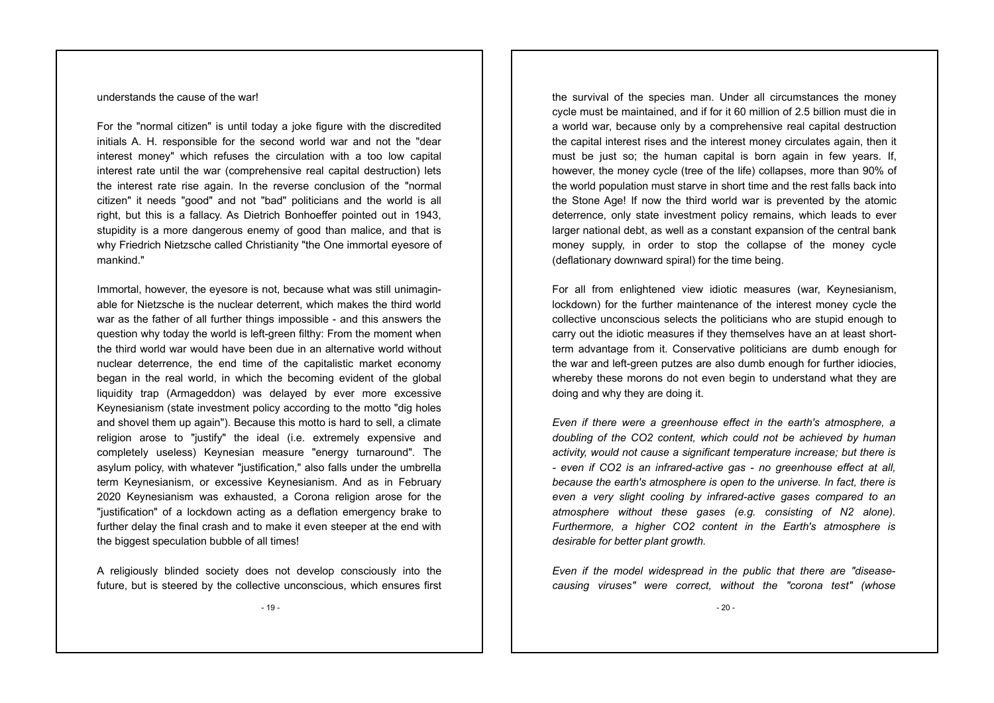understands the cause of the war!

For the "normal citizen" is until today a joke figure with the discredited initials A. H. responsible for the second world war and not the "dear interest money" which refuses the circulation with a too low capital interest rate until the war (comprehensive real capital destruction) lets the interest rate rise again. In the reverse conclusion of the "normal citizen" it needs "good" and not "bad" politicians and the world is all right, but this is a fallacy. As Dietrich Bonhoeffer pointed out in 1943, stupidity is a more dangerous enemy of good than malice, and that is why Friedrich Nietzsche called Christianity "the One immortal eyesore of mankind."

Immortal, however, the eyesore is not, because what was still unimaginable for Nietzsche is the nuclear deterrent, which makes the third world war as the father of all further things impossible - and this answers the question why today the world is left-green filthy: From the moment when the third world war would have been due in an alternative world without nuclear deterrence, the end time of the capitalistic market economy began in the real world, in which the becoming evident of the global liquidity trap (Armageddon) was delayed by ever more excessive Keynesianism (state investment policy according to the motto "dig holes and shovel them up again"). Because this motto is hard to sell, a climate religion arose to "justify" the ideal (i.e. extremely expensive and completely useless) Keynesian measure "energy turnaround". The asylum policy, with whatever "justification," also falls under the umbrella term Keynesianism, or excessive Keynesianism. And as in February 2020 Keynesianism was exhausted, a Corona religion arose for the "justification" of a lockdown acting as a deflation emergency brake to further delay the final crash and to make it even steeper at the end with the biggest speculation bubble of all times!

A religiously blinded society does not develop consciously into the future, but is steered by the collective unconscious, which ensures first the survival of the species man. Under all circumstances the money cycle must be maintained, and if for it 60 million of 2.5 billion must die in a world war, because only by a comprehensive real capital destruction the capital interest rises and the interest money circulates again, then it must be just so; the human capital is born again in few years. If, however, the money cycle (tree of the life) collapses, more than 90% of the world population must starve in short time and the rest falls back into the Stone Age! If now the third world war is prevented by the atomic deterrence, only state investment policy remains, which leads to ever larger national debt, as well as a constant expansion of the central bank money supply, in order to stop the collapse of the money cycle (deflationary downward spiral) for the time being.

For all from enlightened view idiotic measures (war, Keynesianism, lockdown) for the further maintenance of the interest money cycle the collective unconscious selects the politicians who are stupid enough to carry out the idiotic measures if they themselves have an at least shortterm advantage from it. Conservative politicians are dumb enough for the war and left-green putzes are also dumb enough for further idiocies, whereby these morons do not even begin to understand what they are doing and why they are doing it.

*Even if there were a greenhouse effect in the earth's atmosphere, a doubling of the CO2 content, which could not be achieved by human activity, would not cause a significant temperature increase; but there is - even if CO2 is an infrared-active gas - no greenhouse effect at all, because the earth's atmosphere is open to the universe. In fact, there is even a very slight cooling by infrared-active gases compared to an atmosphere without these gases (e.g. consisting of N2 alone). Furthermore, a higher CO2 content in the Earth's atmosphere is desirable for better plant growth.*

*Even if the model widespread in the public that there are "diseasecausing viruses" were correct, without the "corona test" (whose*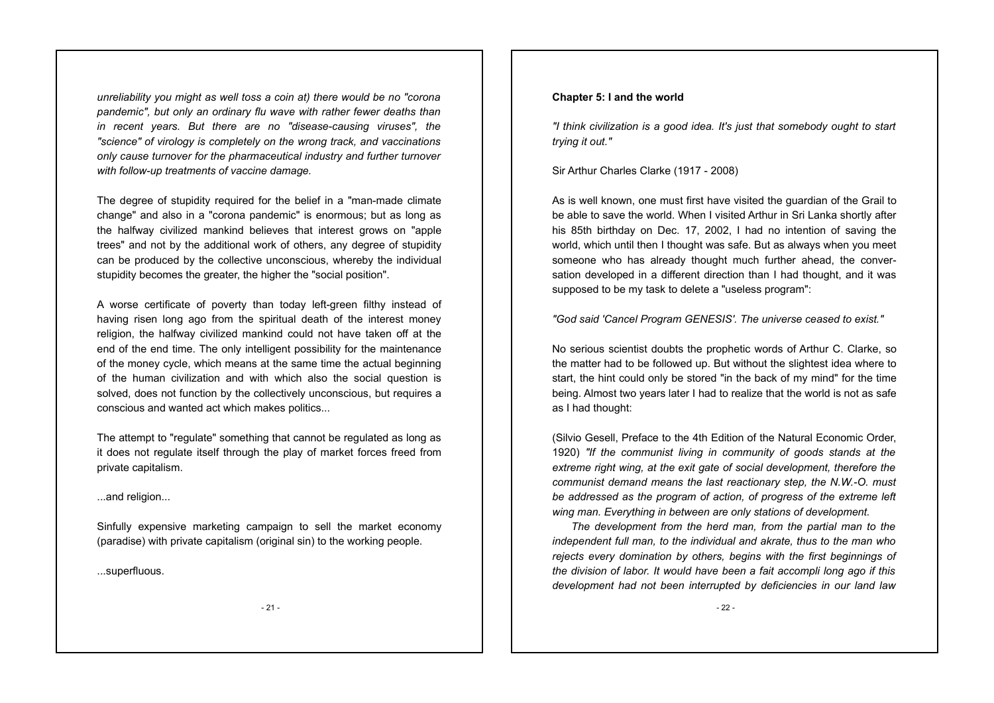*unreliability you might as well toss a coin at) there would be no "corona pandemic", but only an ordinary flu wave with rather fewer deaths than in recent years. But there are no "disease-causing viruses", the "science" of virology is completely on the wrong track, and vaccinations only cause turnover for the pharmaceutical industry and further turnover with follow-up treatments of vaccine damage.*

The degree of stupidity required for the belief in a "man-made climate change" and also in a "corona pandemic" is enormous; but as long as the halfway civilized mankind believes that interest grows on "apple trees" and not by the additional work of others, any degree of stupidity can be produced by the collective unconscious, whereby the individual stupidity becomes the greater, the higher the "social position".

A worse certificate of poverty than today left-green filthy instead of having risen long ago from the spiritual death of the interest money religion, the halfway civilized mankind could not have taken off at the end of the end time. The only intelligent possibility for the maintenance of the money cycle, which means at the same time the actual beginning of the human civilization and with which also the social question is solved, does not function by the collectively unconscious, but requires a conscious and wanted act which makes politics...

The attempt to "regulate" something that cannot be regulated as long as it does not regulate itself through the play of market forces freed from private capitalism.

...and religion...

Sinfully expensive marketing campaign to sell the market economy (paradise) with private capitalism (original sin) to the working people.

...superfluous.

### **Chapter 5: I and the world**

*"I think civilization is a good idea. It's just that somebody ought to start trying it out."*

Sir Arthur Charles Clarke (1917 - 2008)

As is well known, one must first have visited the guardian of the Grail to be able to save the world. When I visited Arthur in Sri Lanka shortly after his 85th birthday on Dec. 17, 2002, I had no intention of saving the world, which until then I thought was safe. But as always when you meet someone who has already thought much further ahead, the conversation developed in a different direction than I had thought, and it was supposed to be my task to delete a "useless program":

*"God said 'Cancel Program GENESIS'. The universe ceased to exist."*

No serious scientist doubts the prophetic words of Arthur C. Clarke, so the matter had to be followed up. But without the slightest idea where to start, the hint could only be stored "in the back of my mind" for the time being. Almost two years later I had to realize that the world is not as safe as I had thought:

(Silvio Gesell, Preface to the 4th Edition of the Natural Economic Order, 1920) *"If the communist living in community of goods stands at the extreme right wing, at the exit gate of social development, therefore the communist demand means the last reactionary step, the N.W.-O. must be addressed as the program of action, of progress of the extreme left wing man. Everything in between are only stations of development.* 

 *The development from the herd man, from the partial man to the independent full man, to the individual and akrate, thus to the man who rejects every domination by others, begins with the first beginnings of the division of labor. It would have been a fait accompli long ago if this development had not been interrupted by deficiencies in our land law*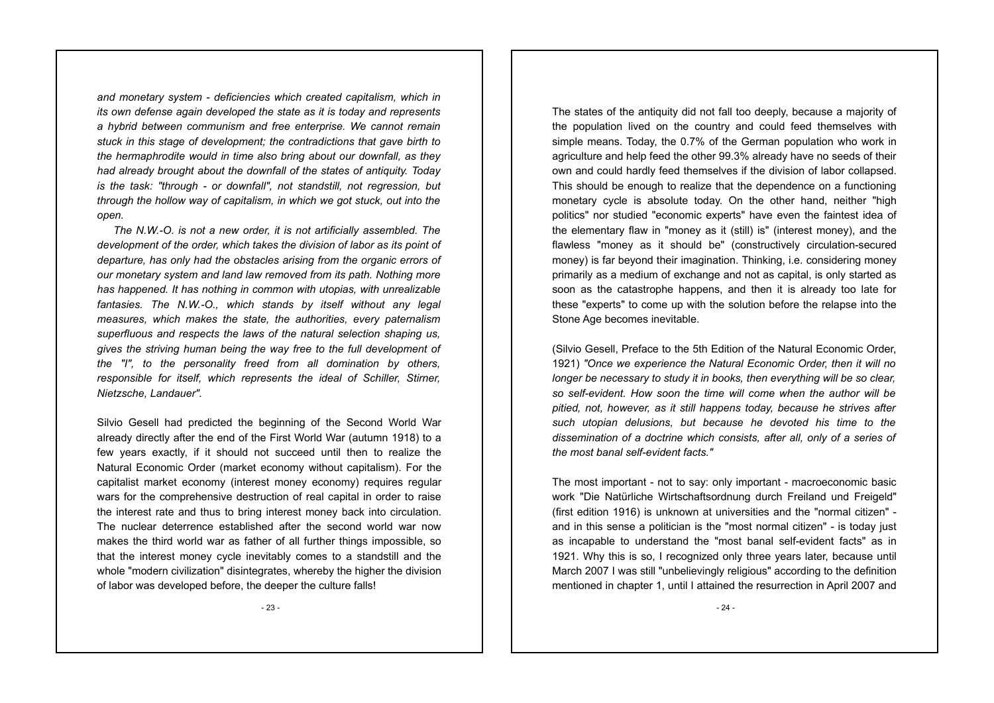*and monetary system - deficiencies which created capitalism, which in its own defense again developed the state as it is today and represents a hybrid between communism and free enterprise. We cannot remain stuck in this stage of development; the contradictions that gave birth to the hermaphrodite would in time also bring about our downfall, as they had already brought about the downfall of the states of antiquity. Today is the task: "through - or downfall", not standstill, not regression, but through the hollow way of capitalism, in which we got stuck, out into the open.* 

 *The N.W.-O. is not a new order, it is not artificially assembled. The development of the order, which takes the division of labor as its point of departure, has only had the obstacles arising from the organic errors of our monetary system and land law removed from its path. Nothing more has happened. It has nothing in common with utopias, with unrealizable fantasies. The N.W.-O., which stands by itself without any legal measures, which makes the state, the authorities, every paternalism superfluous and respects the laws of the natural selection shaping us, gives the striving human being the way free to the full development of the "I", to the personality freed from all domination by others, responsible for itself, which represents the ideal of Schiller, Stirner, Nietzsche, Landauer".* 

Silvio Gesell had predicted the beginning of the Second World War already directly after the end of the First World War (autumn 1918) to a few years exactly, if it should not succeed until then to realize the Natural Economic Order (market economy without capitalism). For the capitalist market economy (interest money economy) requires regular wars for the comprehensive destruction of real capital in order to raise the interest rate and thus to bring interest money back into circulation. The nuclear deterrence established after the second world war now makes the third world war as father of all further things impossible, so that the interest money cycle inevitably comes to a standstill and the whole "modern civilization" disintegrates, whereby the higher the division of labor was developed before, the deeper the culture falls!

The states of the antiquity did not fall too deeply, because a majority of the population lived on the country and could feed themselves with simple means. Today, the 0.7% of the German population who work in agriculture and help feed the other 99.3% already have no seeds of their own and could hardly feed themselves if the division of labor collapsed. This should be enough to realize that the dependence on a functioning monetary cycle is absolute today. On the other hand, neither "high politics" nor studied "economic experts" have even the faintest idea of the elementary flaw in "money as it (still) is" (interest money), and the flawless "money as it should be" (constructively circulation-secured money) is far beyond their imagination. Thinking, i.e. considering money primarily as a medium of exchange and not as capital, is only started as soon as the catastrophe happens, and then it is already too late for these "experts" to come up with the solution before the relapse into the Stone Age becomes inevitable.

(Silvio Gesell, Preface to the 5th Edition of the Natural Economic Order, 1921) *"Once we experience the Natural Economic Order, then it will no longer be necessary to study it in books, then everything will be so clear, so self-evident. How soon the time will come when the author will be pitied, not, however, as it still happens today, because he strives after such utopian delusions, but because he devoted his time to the dissemination of a doctrine which consists, after all, only of a series of the most banal self-evident facts."*

The most important - not to say: only important - macroeconomic basic work "Die Natürliche Wirtschaftsordnung durch Freiland und Freigeld" (first edition 1916) is unknown at universities and the "normal citizen" and in this sense a politician is the "most normal citizen" - is today just as incapable to understand the "most banal self-evident facts" as in 1921. Why this is so, I recognized only three years later, because until March 2007 I was still "unbelievingly religious" according to the definition mentioned in chapter 1, until I attained the resurrection in April 2007 and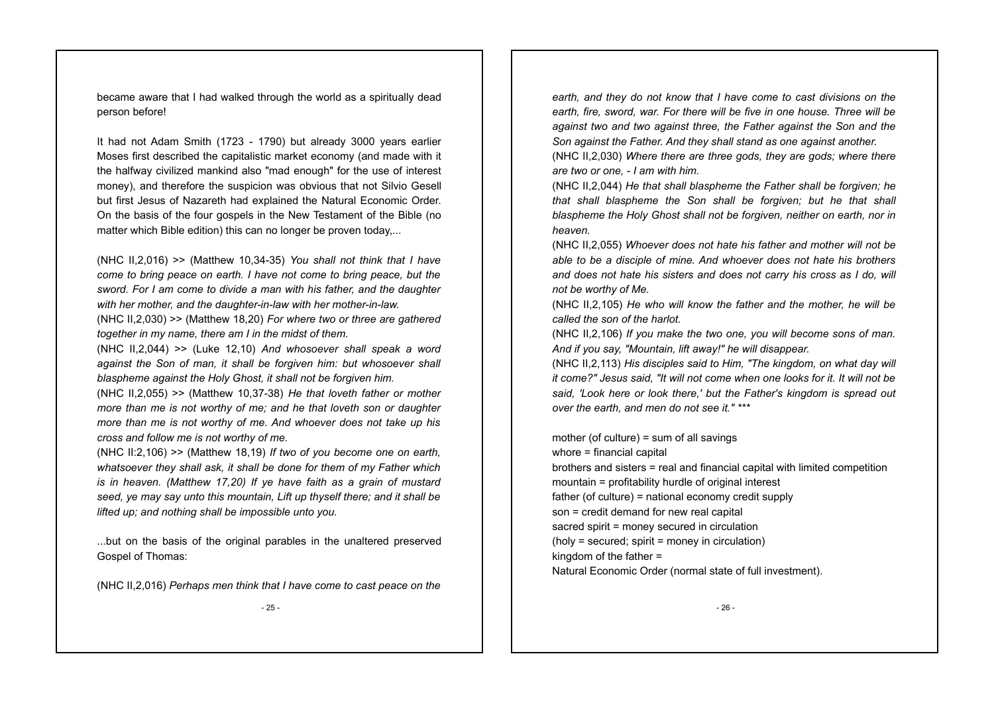became aware that I had walked through the world as a spiritually dead person before!

It had not Adam Smith (1723 - 1790) but already 3000 years earlier Moses first described the capitalistic market economy (and made with it the halfway civilized mankind also "mad enough" for the use of interest money), and therefore the suspicion was obvious that not Silvio Gesell but first Jesus of Nazareth had explained the Natural Economic Order. On the basis of the four gospels in the New Testament of the Bible (no matter which Bible edition) this can no longer be proven today...

(NHC II,2,016) >> (Matthew 10,34-35) *You shall not think that I have come to bring peace on earth. I have not come to bring peace, but the sword. For I am come to divide a man with his father, and the daughter with her mother, and the daughter-in-law with her mother-in-law.*  (NHC II,2,030) >> (Matthew 18,20) *For where two or three are gathered*

*together in my name, there am I in the midst of them.*

(NHC II,2,044) >> (Luke 12,10) *And whosoever shall speak a word against the Son of man, it shall be forgiven him: but whosoever shall blaspheme against the Holy Ghost, it shall not be forgiven him.*

(NHC II,2,055) >> (Matthew 10,37-38) *He that loveth father or mother more than me is not worthy of me; and he that loveth son or daughter more than me is not worthy of me. And whoever does not take up his cross and follow me is not worthy of me.*

(NHC II:2,106) >> (Matthew 18,19) *If two of you become one on earth, whatsoever they shall ask, it shall be done for them of my Father which is in heaven. (Matthew 17,20) If ye have faith as a grain of mustard seed, ye may say unto this mountain, Lift up thyself there; and it shall be lifted up; and nothing shall be impossible unto you.*

...but on the basis of the original parables in the unaltered preserved Gospel of Thomas:

(NHC II,2,016) *Perhaps men think that I have come to cast peace on the* - 25 -

*earth, and they do not know that I have come to cast divisions on the earth, fire, sword, war. For there will be five in one house. Three will be against two and two against three, the Father against the Son and the Son against the Father. And they shall stand as one against another.*  (NHC II,2,030) *Where there are three gods, they are gods; where there*

*are two or one, - I am with him.* 

(NHC II,2,044) *He that shall blaspheme the Father shall be forgiven; he that shall blaspheme the Son shall be forgiven; but he that shall blaspheme the Holy Ghost shall not be forgiven, neither on earth, nor in heaven.* 

(NHC II,2,055) *Whoever does not hate his father and mother will not be able to be a disciple of mine. And whoever does not hate his brothers and does not hate his sisters and does not carry his cross as I do, will not be worthy of Me.* 

(NHC II,2,105) *He who will know the father and the mother, he will be called the son of the harlot.* 

(NHC II,2,106) *If you make the two one, you will become sons of man. And if you say, "Mountain, lift away!" he will disappear.* 

(NHC II,2,113) *His disciples said to Him, "The kingdom, on what day will it come?" Jesus said, "It will not come when one looks for it. It will not be said, 'Look here or look there,' but the Father's kingdom is spread out over the earth, and men do not see it." \*\*\**

mother (of culture) = sum of all savings whore = financial capital brothers and sisters = real and financial capital with limited competition mountain = profitability hurdle of original interest father (of culture) = national economy credit supply son = credit demand for new real capital sacred spirit = money secured in circulation (holy = secured; spirit = money in circulation) kingdom of the father = Natural Economic Order (normal state of full investment).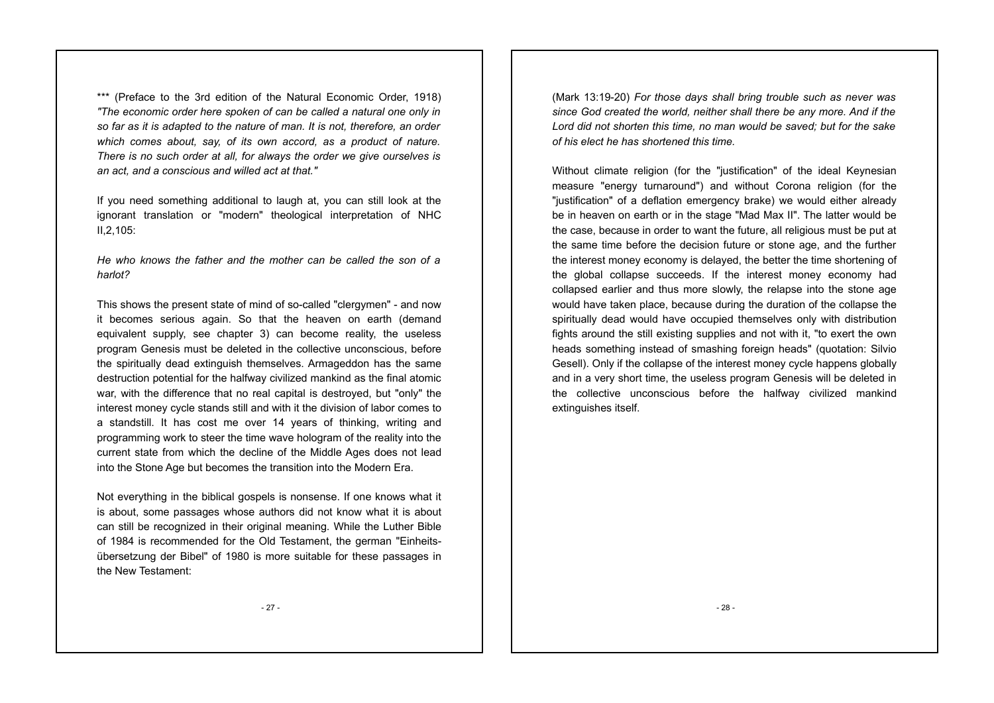\*\*\* (Preface to the 3rd edition of the Natural Economic Order, 1918) *"The economic order here spoken of can be called a natural one only in so far as it is adapted to the nature of man. It is not, therefore, an order which comes about, say, of its own accord, as a product of nature. There is no such order at all, for always the order we give ourselves is an act, and a conscious and willed act at that."*

If you need something additional to laugh at, you can still look at the ignorant translation or "modern" theological interpretation of NHC II,2,105:

*He who knows the father and the mother can be called the son of a harlot?*

This shows the present state of mind of so-called "clergymen" - and now it becomes serious again. So that the heaven on earth (demand equivalent supply, see chapter 3) can become reality, the useless program Genesis must be deleted in the collective unconscious, before the spiritually dead extinguish themselves. Armageddon has the same destruction potential for the halfway civilized mankind as the final atomic war, with the difference that no real capital is destroyed, but "only" the interest money cycle stands still and with it the division of labor comes to a standstill. It has cost me over 14 years of thinking, writing and programming work to steer the time wave hologram of the reality into the current state from which the decline of the Middle Ages does not lead into the Stone Age but becomes the transition into the Modern Era.

Not everything in the biblical gospels is nonsense. If one knows what it is about, some passages whose authors did not know what it is about can still be recognized in their original meaning. While the Luther Bible of 1984 is recommended for the Old Testament, the german "Einheitsübersetzung der Bibel" of 1980 is more suitable for these passages in the New Testament:

(Mark 13:19-20) *For those days shall bring trouble such as never was since God created the world, neither shall there be any more. And if the Lord did not shorten this time, no man would be saved; but for the sake of his elect he has shortened this time.* 

Without climate religion (for the "justification" of the ideal Keynesian measure "energy turnaround") and without Corona religion (for the "justification" of a deflation emergency brake) we would either already be in heaven on earth or in the stage "Mad Max II". The latter would be the case, because in order to want the future, all religious must be put at the same time before the decision future or stone age, and the further the interest money economy is delayed, the better the time shortening of the global collapse succeeds. If the interest money economy had collapsed earlier and thus more slowly, the relapse into the stone age would have taken place, because during the duration of the collapse the spiritually dead would have occupied themselves only with distribution fights around the still existing supplies and not with it, "to exert the own heads something instead of smashing foreign heads" (quotation: Silvio Gesell). Only if the collapse of the interest money cycle happens globally and in a very short time, the useless program Genesis will be deleted in the collective unconscious before the halfway civilized mankind extinguishes itself.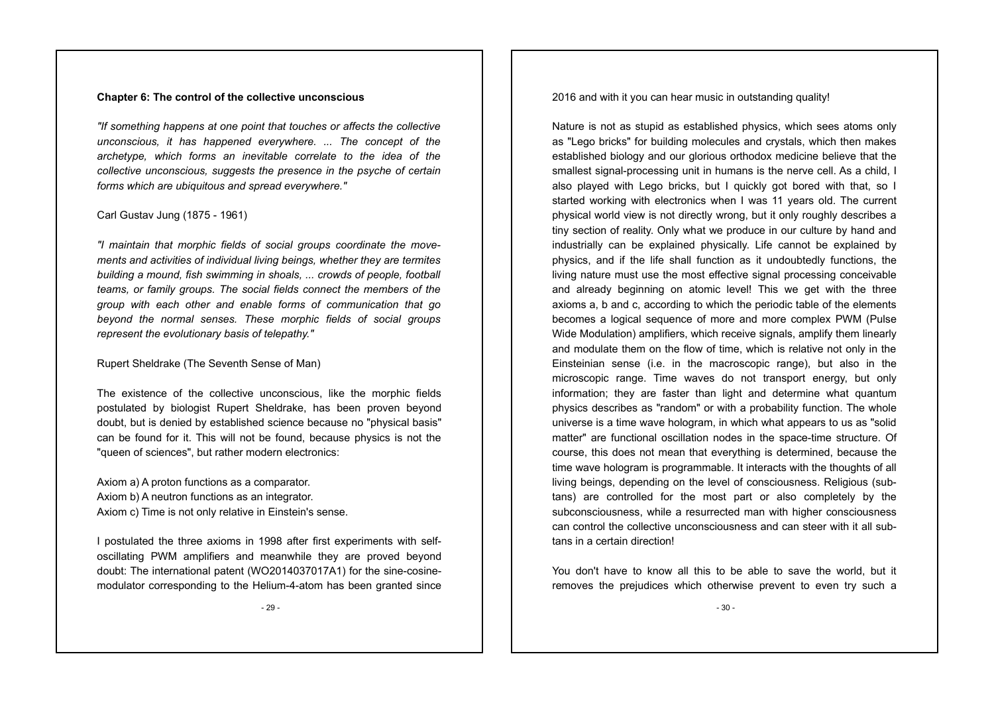#### **Chapter 6: The control of the collective unconscious**

*"If something happens at one point that touches or affects the collective unconscious, it has happened everywhere. ... The concept of the archetype, which forms an inevitable correlate to the idea of the collective unconscious, suggests the presence in the psyche of certain forms which are ubiquitous and spread everywhere."* 

#### Carl Gustav Jung (1875 - 1961)

*"I maintain that morphic fields of social groups coordinate the movements and activities of individual living beings, whether they are termites building a mound, fish swimming in shoals, ... crowds of people, football teams, or family groups. The social fields connect the members of the group with each other and enable forms of communication that go beyond the normal senses. These morphic fields of social groups represent the evolutionary basis of telepathy."*

Rupert Sheldrake (The Seventh Sense of Man)

The existence of the collective unconscious, like the morphic fields postulated by biologist Rupert Sheldrake, has been proven beyond doubt, but is denied by established science because no "physical basis" can be found for it. This will not be found, because physics is not the "queen of sciences", but rather modern electronics:

Axiom a) A proton functions as a comparator. Axiom b) A neutron functions as an integrator. Axiom c) Time is not only relative in Einstein's sense.

I postulated the three axioms in 1998 after first experiments with selfoscillating PWM amplifiers and meanwhile they are proved beyond doubt: The international patent (WO2014037017A1) for the sine-cosinemodulator corresponding to the Helium-4-atom has been granted since

- 29 -

2016 and with it you can hear music in outstanding quality!

Nature is not as stupid as established physics, which sees atoms only as "Lego bricks" for building molecules and crystals, which then makes established biology and our glorious orthodox medicine believe that the smallest signal-processing unit in humans is the nerve cell. As a child, I also played with Lego bricks, but I quickly got bored with that, so I started working with electronics when I was 11 years old. The current physical world view is not directly wrong, but it only roughly describes a tiny section of reality. Only what we produce in our culture by hand and industrially can be explained physically. Life cannot be explained by physics, and if the life shall function as it undoubtedly functions, the living nature must use the most effective signal processing conceivable and already beginning on atomic level! This we get with the three axioms a, b and c, according to which the periodic table of the elements becomes a logical sequence of more and more complex PWM (Pulse Wide Modulation) amplifiers, which receive signals, amplify them linearly and modulate them on the flow of time, which is relative not only in the Einsteinian sense (i.e. in the macroscopic range), but also in the microscopic range. Time waves do not transport energy, but only information; they are faster than light and determine what quantum physics describes as "random" or with a probability function. The whole universe is a time wave hologram, in which what appears to us as "solid matter" are functional oscillation nodes in the space-time structure. Of course, this does not mean that everything is determined, because the time wave hologram is programmable. It interacts with the thoughts of all living beings, depending on the level of consciousness. Religious (subtans) are controlled for the most part or also completely by the subconsciousness, while a resurrected man with higher consciousness can control the collective unconsciousness and can steer with it all subtans in a certain direction!

You don't have to know all this to be able to save the world, but it removes the prejudices which otherwise prevent to even try such a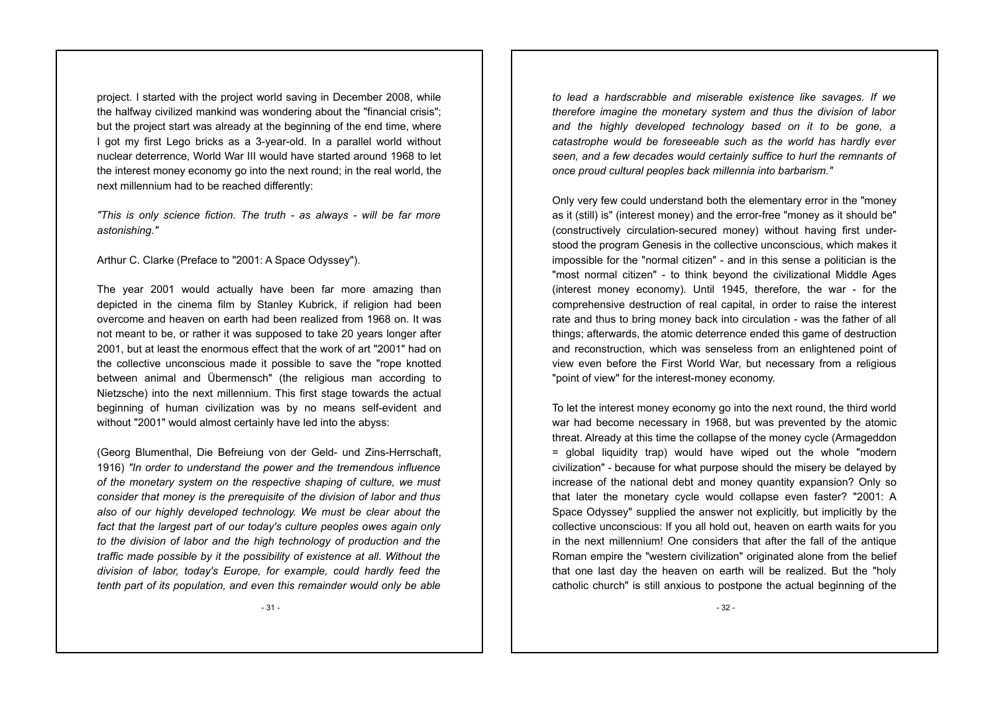project. I started with the project world saving in December 2008, while the halfway civilized mankind was wondering about the "financial crisis"; but the project start was already at the beginning of the end time, where I got my first Lego bricks as a 3-year-old. In a parallel world without nuclear deterrence, World War III would have started around 1968 to let the interest money economy go into the next round; in the real world, the next millennium had to be reached differently:

*"This is only science fiction. The truth - as always - will be far more astonishing."*

Arthur C. Clarke (Preface to "2001: A Space Odyssey").

The year 2001 would actually have been far more amazing than depicted in the cinema film by Stanley Kubrick, if religion had been overcome and heaven on earth had been realized from 1968 on. It was not meant to be, or rather it was supposed to take 20 years longer after 2001, but at least the enormous effect that the work of art "2001" had on the collective unconscious made it possible to save the "rope knotted between animal and Übermensch" (the religious man according to Nietzsche) into the next millennium. This first stage towards the actual beginning of human civilization was by no means self-evident and without "2001" would almost certainly have led into the abyss:

(Georg Blumenthal, Die Befreiung von der Geld- und Zins-Herrschaft, 1916) *"In order to understand the power and the tremendous influence of the monetary system on the respective shaping of culture, we must consider that money is the prerequisite of the division of labor and thus also of our highly developed technology. We must be clear about the fact that the largest part of our today's culture peoples owes again only to the division of labor and the high technology of production and the traffic made possible by it the possibility of existence at all. Without the division of labor, today's Europe, for example, could hardly feed the tenth part of its population, and even this remainder would only be able*

*to lead a hardscrabble and miserable existence like savages. If we therefore imagine the monetary system and thus the division of labor and the highly developed technology based on it to be gone, a catastrophe would be foreseeable such as the world has hardly ever seen, and a few decades would certainly suffice to hurl the remnants of once proud cultural peoples back millennia into barbarism."*

Only very few could understand both the elementary error in the "money as it (still) is" (interest money) and the error-free "money as it should be" (constructively circulation-secured money) without having first understood the program Genesis in the collective unconscious, which makes it impossible for the "normal citizen" - and in this sense a politician is the "most normal citizen" - to think beyond the civilizational Middle Ages (interest money economy). Until 1945, therefore, the war - for the comprehensive destruction of real capital, in order to raise the interest rate and thus to bring money back into circulation - was the father of all things; afterwards, the atomic deterrence ended this game of destruction and reconstruction, which was senseless from an enlightened point of view even before the First World War, but necessary from a religious "point of view" for the interest-money economy.

To let the interest money economy go into the next round, the third world war had become necessary in 1968, but was prevented by the atomic threat. Already at this time the collapse of the money cycle (Armageddon = global liquidity trap) would have wiped out the whole "modern civilization" - because for what purpose should the misery be delayed by increase of the national debt and money quantity expansion? Only so that later the monetary cycle would collapse even faster? "2001: A Space Odyssey" supplied the answer not explicitly, but implicitly by the collective unconscious: If you all hold out, heaven on earth waits for you in the next millennium! One considers that after the fall of the antique Roman empire the "western civilization" originated alone from the belief that one last day the heaven on earth will be realized. But the "holy catholic church" is still anxious to postpone the actual beginning of the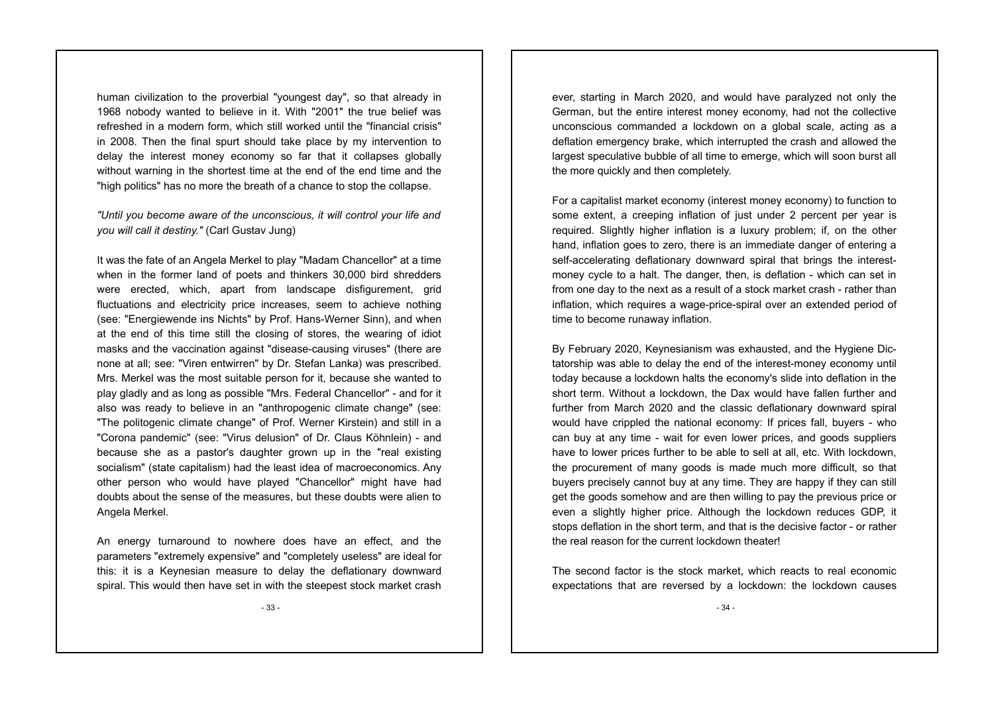human civilization to the proverbial "youngest day", so that already in 1968 nobody wanted to believe in it. With "2001" the true belief was refreshed in a modern form, which still worked until the "financial crisis" in 2008. Then the final spurt should take place by my intervention to delay the interest money economy so far that it collapses globally without warning in the shortest time at the end of the end time and the "high politics" has no more the breath of a chance to stop the collapse.

*"Until you become aware of the unconscious, it will control your life and you will call it destiny."* (Carl Gustav Jung)

It was the fate of an Angela Merkel to play "Madam Chancellor" at a time when in the former land of poets and thinkers 30,000 bird shredders were erected, which, apart from landscape disfigurement, grid fluctuations and electricity price increases, seem to achieve nothing (see: "Energiewende ins Nichts" by Prof. Hans-Werner Sinn), and when at the end of this time still the closing of stores, the wearing of idiot masks and the vaccination against "disease-causing viruses" (there are none at all; see: "Viren entwirren" by Dr. Stefan Lanka) was prescribed. Mrs. Merkel was the most suitable person for it, because she wanted to play gladly and as long as possible "Mrs. Federal Chancellor" - and for it also was ready to believe in an "anthropogenic climate change" (see: "The politogenic climate change" of Prof. Werner Kirstein) and still in a "Corona pandemic" (see: "Virus delusion" of Dr. Claus Köhnlein) - and because she as a pastor's daughter grown up in the "real existing socialism" (state capitalism) had the least idea of macroeconomics. Any other person who would have played "Chancellor" might have had doubts about the sense of the measures, but these doubts were alien to Angela Merkel.

An energy turnaround to nowhere does have an effect, and the parameters "extremely expensive" and "completely useless" are ideal for this: it is a Keynesian measure to delay the deflationary downward spiral. This would then have set in with the steepest stock market crash

ever, starting in March 2020, and would have paralyzed not only the German, but the entire interest money economy, had not the collective unconscious commanded a lockdown on a global scale, acting as a deflation emergency brake, which interrupted the crash and allowed the largest speculative bubble of all time to emerge, which will soon burst all the more quickly and then completely.

For a capitalist market economy (interest money economy) to function to some extent, a creeping inflation of just under 2 percent per year is required. Slightly higher inflation is a luxury problem; if, on the other hand, inflation goes to zero, there is an immediate danger of entering a self-accelerating deflationary downward spiral that brings the interestmoney cycle to a halt. The danger, then, is deflation - which can set in from one day to the next as a result of a stock market crash - rather than inflation, which requires a wage-price-spiral over an extended period of time to become runaway inflation.

By February 2020, Keynesianism was exhausted, and the Hygiene Dictatorship was able to delay the end of the interest-money economy until today because a lockdown halts the economy's slide into deflation in the short term. Without a lockdown, the Dax would have fallen further and further from March 2020 and the classic deflationary downward spiral would have crippled the national economy: If prices fall, buyers - who can buy at any time - wait for even lower prices, and goods suppliers have to lower prices further to be able to sell at all, etc. With lockdown, the procurement of many goods is made much more difficult, so that buyers precisely cannot buy at any time. They are happy if they can still get the goods somehow and are then willing to pay the previous price or even a slightly higher price. Although the lockdown reduces GDP, it stops deflation in the short term, and that is the decisive factor - or rather the real reason for the current lockdown theater!

The second factor is the stock market, which reacts to real economic expectations that are reversed by a lockdown: the lockdown causes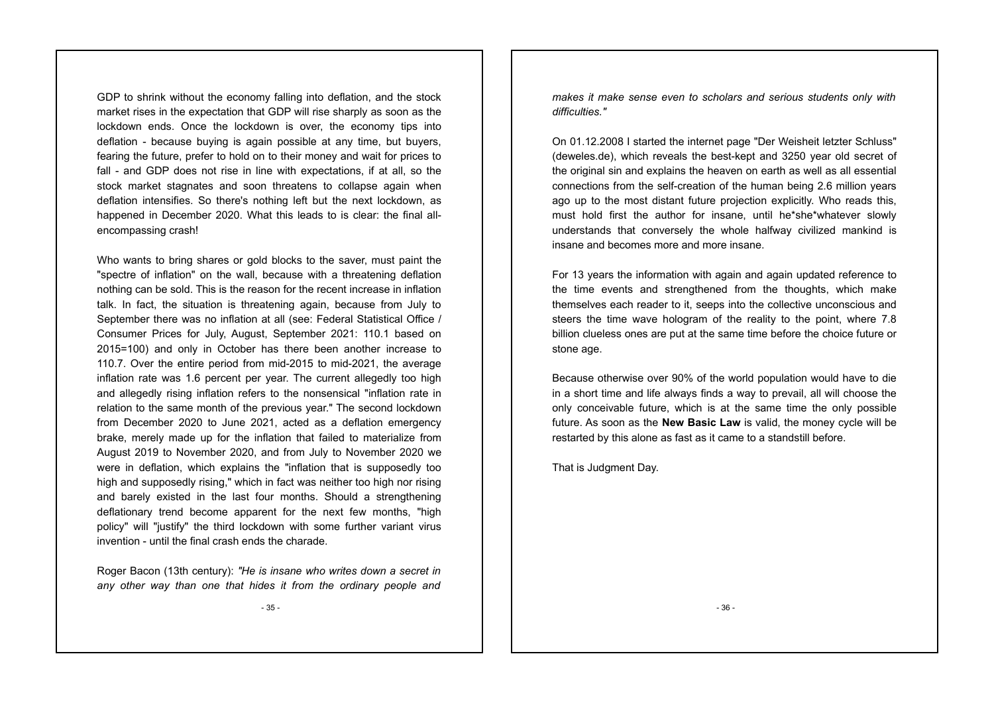GDP to shrink without the economy falling into deflation, and the stock market rises in the expectation that GDP will rise sharply as soon as the lockdown ends. Once the lockdown is over, the economy tips into deflation - because buying is again possible at any time, but buyers, fearing the future, prefer to hold on to their money and wait for prices to fall - and GDP does not rise in line with expectations, if at all, so the stock market stagnates and soon threatens to collapse again when deflation intensifies. So there's nothing left but the next lockdown, as happened in December 2020. What this leads to is clear: the final allencompassing crash!

Who wants to bring shares or gold blocks to the saver, must paint the "spectre of inflation" on the wall, because with a threatening deflation nothing can be sold. This is the reason for the recent increase in inflation talk. In fact, the situation is threatening again, because from July to September there was no inflation at all (see: Federal Statistical Office / Consumer Prices for July, August, September 2021: 110.1 based on 2015=100) and only in October has there been another increase to 110.7. Over the entire period from mid-2015 to mid-2021, the average inflation rate was 1.6 percent per year. The current allegedly too high and allegedly rising inflation refers to the nonsensical "inflation rate in relation to the same month of the previous year." The second lockdown from December 2020 to June 2021, acted as a deflation emergency brake, merely made up for the inflation that failed to materialize from August 2019 to November 2020, and from July to November 2020 we were in deflation, which explains the "inflation that is supposedly too high and supposedly rising," which in fact was neither too high nor rising and barely existed in the last four months. Should a strengthening deflationary trend become apparent for the next few months, "high policy" will "justify" the third lockdown with some further variant virus invention - until the final crash ends the charade.

Roger Bacon (13th century): *"He is insane who writes down a secret in any other way than one that hides it from the ordinary people and*

- 35 -

*makes it make sense even to scholars and serious students only with difficulties."* 

On 01.12.2008 I started the internet page "Der Weisheit letzter Schluss" (deweles.de), which reveals the best-kept and 3250 year old secret of the original sin and explains the heaven on earth as well as all essential connections from the self-creation of the human being 2.6 million years ago up to the most distant future projection explicitly. Who reads this, must hold first the author for insane, until he\*she\*whatever slowly understands that conversely the whole halfway civilized mankind is insane and becomes more and more insane.

For 13 years the information with again and again updated reference to the time events and strengthened from the thoughts, which make themselves each reader to it, seeps into the collective unconscious and steers the time wave hologram of the reality to the point, where 7.8 billion clueless ones are put at the same time before the choice future or stone age.

Because otherwise over 90% of the world population would have to die in a short time and life always finds a way to prevail, all will choose the only conceivable future, which is at the same time the only possible future. As soon as the **New Basic Law** is valid, the money cycle will be restarted by this alone as fast as it came to a standstill before.

That is Judgment Day.

- 36 -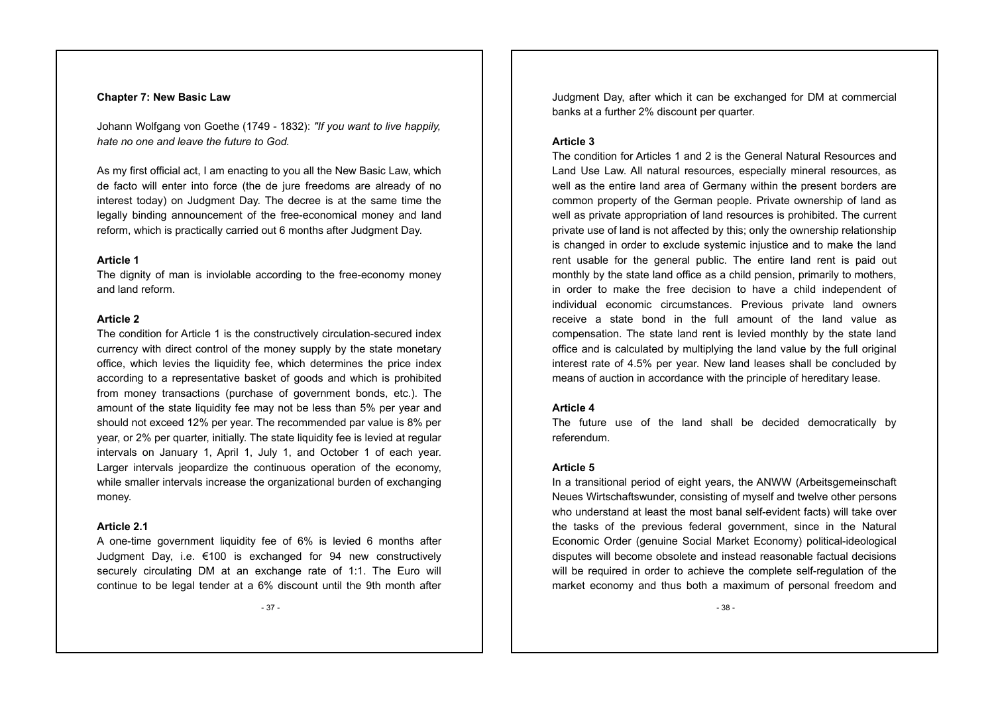#### **Chapter 7: New Basic Law**

Johann Wolfgang von Goethe (1749 - 1832): *"If you want to live happily, hate no one and leave the future to God.*

As my first official act, I am enacting to you all the New Basic Law, which de facto will enter into force (the de jure freedoms are already of no interest today) on Judgment Day. The decree is at the same time the legally binding announcement of the free-economical money and land reform, which is practically carried out 6 months after Judgment Day.

#### **Article 1**

The dignity of man is inviolable according to the free-economy money and land reform.

#### **Article 2**

The condition for Article 1 is the constructively circulation-secured index currency with direct control of the money supply by the state monetary office, which levies the liquidity fee, which determines the price index according to a representative basket of goods and which is prohibited from money transactions (purchase of government bonds, etc.). The amount of the state liquidity fee may not be less than 5% per year and should not exceed 12% per year. The recommended par value is 8% per year, or 2% per quarter, initially. The state liquidity fee is levied at regular intervals on January 1, April 1, July 1, and October 1 of each year. Larger intervals jeopardize the continuous operation of the economy, while smaller intervals increase the organizational burden of exchanging money.

#### **Article 2.1**

A one-time government liquidity fee of 6% is levied 6 months after Judgment Day, i.e. €100 is exchanged for 94 new constructively securely circulating DM at an exchange rate of 1:1. The Euro will continue to be legal tender at a 6% discount until the 9th month after

- 37 -

Judgment Day, after which it can be exchanged for DM at commercial banks at a further 2% discount per quarter.

#### **Article 3**

The condition for Articles 1 and 2 is the General Natural Resources and Land Use Law. All natural resources, especially mineral resources, as well as the entire land area of Germany within the present borders are common property of the German people. Private ownership of land as well as private appropriation of land resources is prohibited. The current private use of land is not affected by this; only the ownership relationship is changed in order to exclude systemic injustice and to make the land rent usable for the general public. The entire land rent is paid out monthly by the state land office as a child pension, primarily to mothers, in order to make the free decision to have a child independent of individual economic circumstances. Previous private land owners receive a state bond in the full amount of the land value as compensation. The state land rent is levied monthly by the state land office and is calculated by multiplying the land value by the full original interest rate of 4.5% per year. New land leases shall be concluded by means of auction in accordance with the principle of hereditary lease.

#### **Article 4**

The future use of the land shall be decided democratically by referendum.

#### **Article 5**

In a transitional period of eight years, the ANWW (Arbeitsgemeinschaft Neues Wirtschaftswunder, consisting of myself and twelve other persons who understand at least the most banal self-evident facts) will take over the tasks of the previous federal government, since in the Natural Economic Order (genuine Social Market Economy) political-ideological disputes will become obsolete and instead reasonable factual decisions will be required in order to achieve the complete self-regulation of the market economy and thus both a maximum of personal freedom and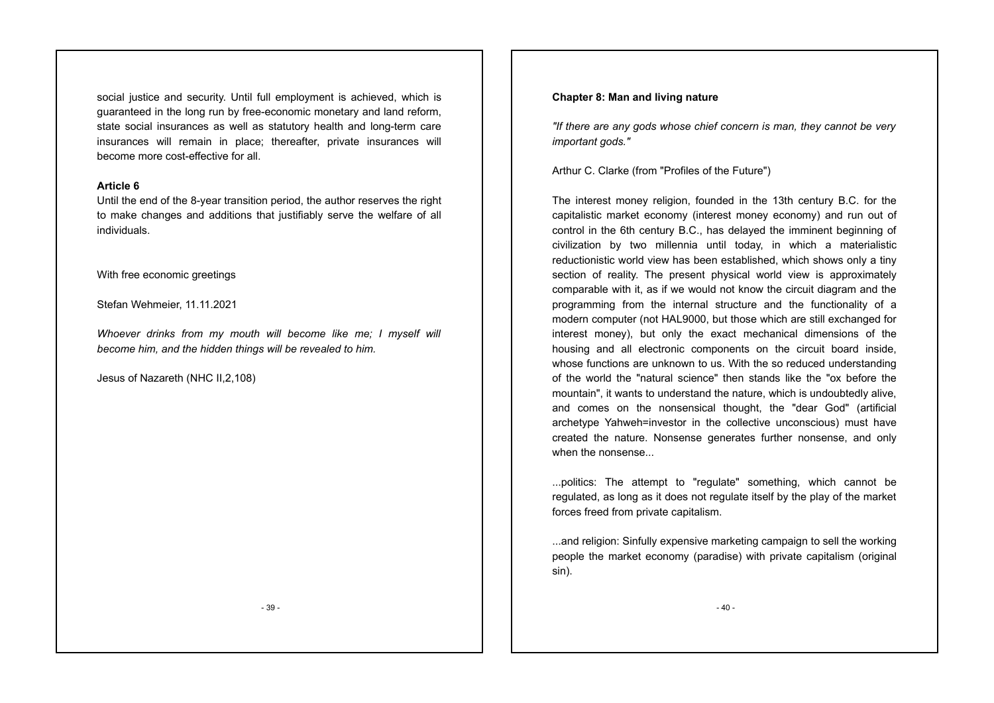social justice and security. Until full employment is achieved, which is guaranteed in the long run by free-economic monetary and land reform, state social insurances as well as statutory health and long-term care insurances will remain in place; thereafter, private insurances will become more cost-effective for all.

#### **Article 6**

Until the end of the 8-year transition period, the author reserves the right to make changes and additions that justifiably serve the welfare of all individuals.

With free economic greetings

Stefan Wehmeier, 11.11.2021

*Whoever drinks from my mouth will become like me; I myself will become him, and the hidden things will be revealed to him.*

Jesus of Nazareth (NHC II,2,108)

#### **Chapter 8: Man and living nature**

*"If there are any gods whose chief concern is man, they cannot be very important gods."*

Arthur C. Clarke (from "Profiles of the Future")

The interest money religion, founded in the 13th century B.C. for the capitalistic market economy (interest money economy) and run out of control in the 6th century B.C., has delayed the imminent beginning of civilization by two millennia until today, in which a materialistic reductionistic world view has been established, which shows only a tiny section of reality. The present physical world view is approximately comparable with it, as if we would not know the circuit diagram and the programming from the internal structure and the functionality of a modern computer (not HAL9000, but those which are still exchanged for interest money), but only the exact mechanical dimensions of the housing and all electronic components on the circuit board inside, whose functions are unknown to us. With the so reduced understanding of the world the "natural science" then stands like the "ox before the mountain", it wants to understand the nature, which is undoubtedly alive, and comes on the nonsensical thought, the "dear God" (artificial archetype Yahweh=investor in the collective unconscious) must have created the nature. Nonsense generates further nonsense, and only when the nonsense...

...politics: The attempt to "regulate" something, which cannot be regulated, as long as it does not regulate itself by the play of the market forces freed from private capitalism.

...and religion: Sinfully expensive marketing campaign to sell the working people the market economy (paradise) with private capitalism (original sin).

- 40 -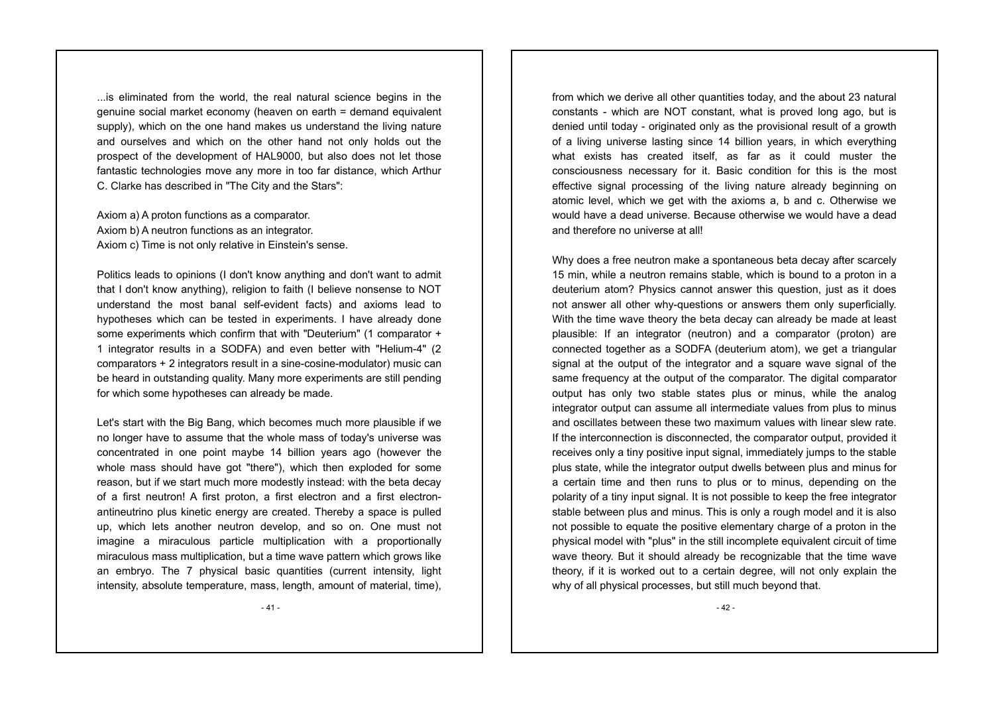...is eliminated from the world, the real natural science begins in the genuine social market economy (heaven on earth = demand equivalent supply), which on the one hand makes us understand the living nature and ourselves and which on the other hand not only holds out the prospect of the development of HAL9000, but also does not let those fantastic technologies move any more in too far distance, which Arthur C. Clarke has described in "The City and the Stars":

Axiom a) A proton functions as a comparator. Axiom b) A neutron functions as an integrator. Axiom c) Time is not only relative in Einstein's sense.

Politics leads to opinions (I don't know anything and don't want to admit that I don't know anything), religion to faith (I believe nonsense to NOT understand the most banal self-evident facts) and axioms lead to hypotheses which can be tested in experiments. I have already done some experiments which confirm that with "Deuterium" (1 comparator + 1 integrator results in a SODFA) and even better with "Helium-4" (2 comparators + 2 integrators result in a sine-cosine-modulator) music can be heard in outstanding quality. Many more experiments are still pending for which some hypotheses can already be made.

Let's start with the Big Bang, which becomes much more plausible if we no longer have to assume that the whole mass of today's universe was concentrated in one point maybe 14 billion years ago (however the whole mass should have got "there"), which then exploded for some reason, but if we start much more modestly instead: with the beta decay of a first neutron! A first proton, a first electron and a first electronantineutrino plus kinetic energy are created. Thereby a space is pulled up, which lets another neutron develop, and so on. One must not imagine a miraculous particle multiplication with a proportionally miraculous mass multiplication, but a time wave pattern which grows like an embryo. The 7 physical basic quantities (current intensity, light intensity, absolute temperature, mass, length, amount of material, time),

from which we derive all other quantities today, and the about 23 natural constants - which are NOT constant, what is proved long ago, but is denied until today - originated only as the provisional result of a growth of a living universe lasting since 14 billion years, in which everything what exists has created itself, as far as it could muster the consciousness necessary for it. Basic condition for this is the most effective signal processing of the living nature already beginning on atomic level, which we get with the axioms a, b and c. Otherwise we would have a dead universe. Because otherwise we would have a dead and therefore no universe at all!

Why does a free neutron make a spontaneous beta decay after scarcely 15 min, while a neutron remains stable, which is bound to a proton in a deuterium atom? Physics cannot answer this question, just as it does not answer all other why-questions or answers them only superficially. With the time wave theory the beta decay can already be made at least plausible: If an integrator (neutron) and a comparator (proton) are connected together as a SODFA (deuterium atom), we get a triangular signal at the output of the integrator and a square wave signal of the same frequency at the output of the comparator. The digital comparator output has only two stable states plus or minus, while the analog integrator output can assume all intermediate values from plus to minus and oscillates between these two maximum values with linear slew rate. If the interconnection is disconnected, the comparator output, provided it receives only a tiny positive input signal, immediately jumps to the stable plus state, while the integrator output dwells between plus and minus for a certain time and then runs to plus or to minus, depending on the polarity of a tiny input signal. It is not possible to keep the free integrator stable between plus and minus. This is only a rough model and it is also not possible to equate the positive elementary charge of a proton in the physical model with "plus" in the still incomplete equivalent circuit of time wave theory. But it should already be recognizable that the time wave theory, if it is worked out to a certain degree, will not only explain the why of all physical processes, but still much beyond that.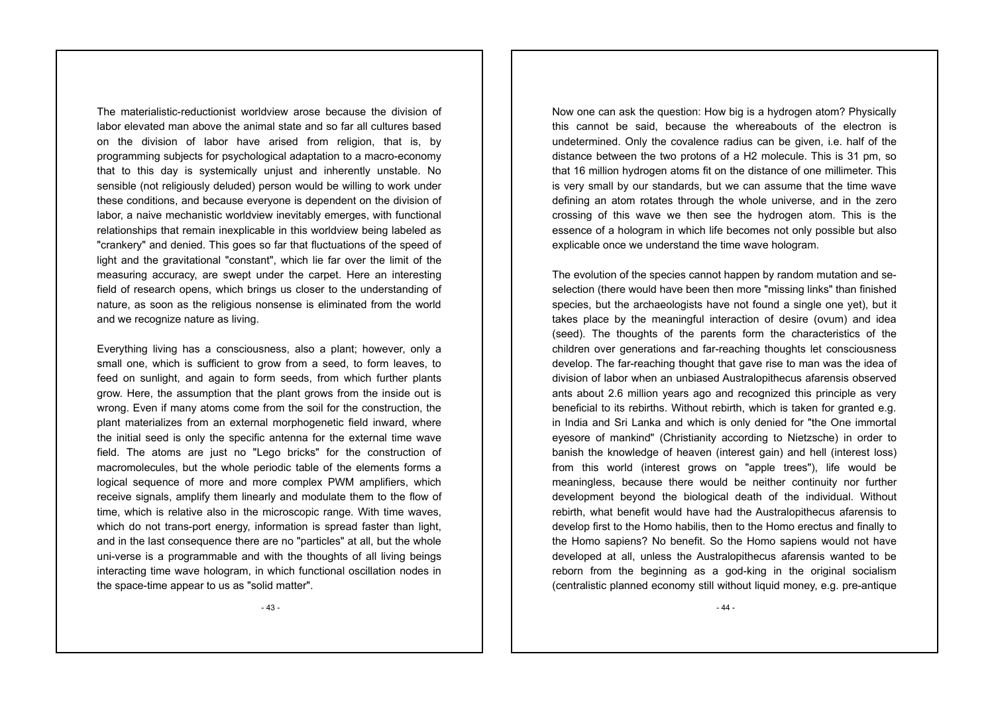The materialistic-reductionist worldview arose because the division of labor elevated man above the animal state and so far all cultures based on the division of labor have arised from religion, that is, by programming subjects for psychological adaptation to a macro-economy that to this day is systemically unjust and inherently unstable. No sensible (not religiously deluded) person would be willing to work under these conditions, and because everyone is dependent on the division of labor, a naive mechanistic worldview inevitably emerges, with functional relationships that remain inexplicable in this worldview being labeled as "crankery" and denied. This goes so far that fluctuations of the speed of light and the gravitational "constant", which lie far over the limit of the measuring accuracy, are swept under the carpet. Here an interesting field of research opens, which brings us closer to the understanding of nature, as soon as the religious nonsense is eliminated from the world and we recognize nature as living.

Everything living has a consciousness, also a plant; however, only a small one, which is sufficient to grow from a seed, to form leaves, to feed on sunlight, and again to form seeds, from which further plants grow. Here, the assumption that the plant grows from the inside out is wrong. Even if many atoms come from the soil for the construction, the plant materializes from an external morphogenetic field inward, where the initial seed is only the specific antenna for the external time wave field. The atoms are just no "Lego bricks" for the construction of macromolecules, but the whole periodic table of the elements forms a logical sequence of more and more complex PWM amplifiers, which receive signals, amplify them linearly and modulate them to the flow of time, which is relative also in the microscopic range. With time waves, which do not trans-port energy, information is spread faster than light, and in the last consequence there are no "particles" at all, but the whole uni-verse is a programmable and with the thoughts of all living beings interacting time wave hologram, in which functional oscillation nodes in the space-time appear to us as "solid matter".

Now one can ask the question: How big is a hydrogen atom? Physically this cannot be said, because the whereabouts of the electron is undetermined. Only the covalence radius can be given, i.e. half of the distance between the two protons of a H2 molecule. This is 31 pm, so that 16 million hydrogen atoms fit on the distance of one millimeter. This is very small by our standards, but we can assume that the time wave defining an atom rotates through the whole universe, and in the zero crossing of this wave we then see the hydrogen atom. This is the essence of a hologram in which life becomes not only possible but also explicable once we understand the time wave hologram.

The evolution of the species cannot happen by random mutation and seselection (there would have been then more "missing links" than finished species, but the archaeologists have not found a single one yet), but it takes place by the meaningful interaction of desire (ovum) and idea (seed). The thoughts of the parents form the characteristics of the children over generations and far-reaching thoughts let consciousness develop. The far-reaching thought that gave rise to man was the idea of division of labor when an unbiased Australopithecus afarensis observed ants about 2.6 million years ago and recognized this principle as very beneficial to its rebirths. Without rebirth, which is taken for granted e.g. in India and Sri Lanka and which is only denied for "the One immortal eyesore of mankind" (Christianity according to Nietzsche) in order to banish the knowledge of heaven (interest gain) and hell (interest loss) from this world (interest grows on "apple trees"), life would be meaningless, because there would be neither continuity nor further development beyond the biological death of the individual. Without rebirth, what benefit would have had the Australopithecus afarensis to develop first to the Homo habilis, then to the Homo erectus and finally to the Homo sapiens? No benefit. So the Homo sapiens would not have developed at all, unless the Australopithecus afarensis wanted to be reborn from the beginning as a god-king in the original socialism (centralistic planned economy still without liquid money, e.g. pre-antique

- 43 -

- 44 -